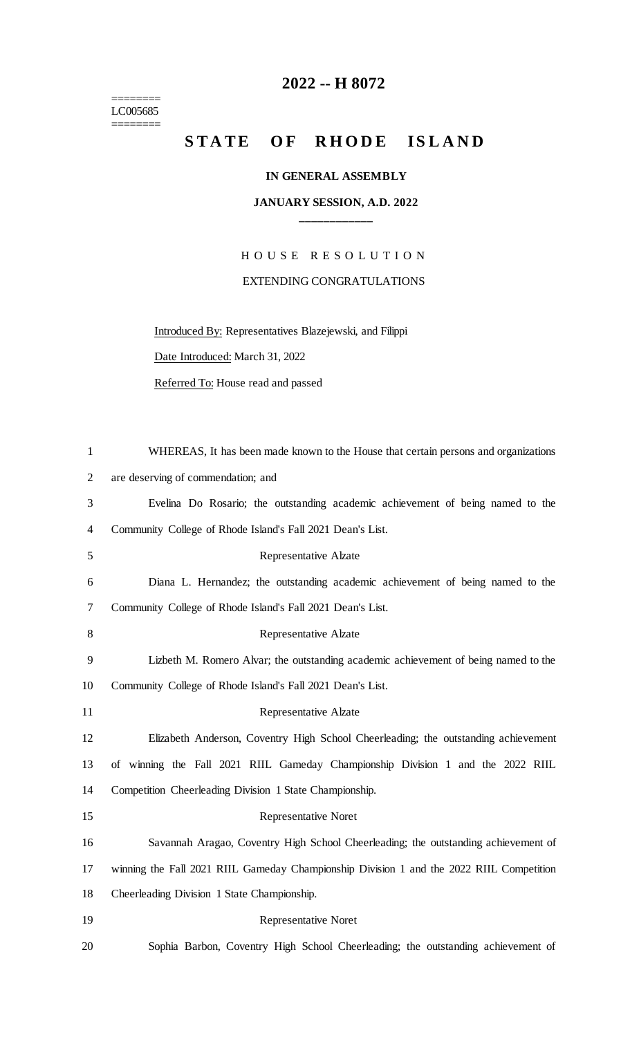======== LC005685 ========

## **2022 -- H 8072**

## STATE OF RHODE ISLAND

## **IN GENERAL ASSEMBLY**

## **JANUARY SESSION, A.D. 2022 \_\_\_\_\_\_\_\_\_\_\_\_**

H O U S E R E S O L U T I O N EXTENDING CONGRATULATIONS

Introduced By: Representatives Blazejewski, and Filippi

Date Introduced: March 31, 2022

Referred To: House read and passed

| $\mathbf{1}$   | WHEREAS, It has been made known to the House that certain persons and organizations      |
|----------------|------------------------------------------------------------------------------------------|
| $\overline{2}$ | are deserving of commendation; and                                                       |
| 3              | Evelina Do Rosario; the outstanding academic achievement of being named to the           |
| 4              | Community College of Rhode Island's Fall 2021 Dean's List.                               |
| 5              | Representative Alzate                                                                    |
| 6              | Diana L. Hernandez; the outstanding academic achievement of being named to the           |
| 7              | Community College of Rhode Island's Fall 2021 Dean's List.                               |
| 8              | <b>Representative Alzate</b>                                                             |
| 9              | Lizbeth M. Romero Alvar; the outstanding academic achievement of being named to the      |
| 10             | Community College of Rhode Island's Fall 2021 Dean's List.                               |
| 11             | <b>Representative Alzate</b>                                                             |
| 12             | Elizabeth Anderson, Coventry High School Cheerleading; the outstanding achievement       |
| 13             | of winning the Fall 2021 RIIL Gameday Championship Division 1 and the 2022 RIIL          |
| 14             | Competition Cheerleading Division 1 State Championship.                                  |
| 15             | <b>Representative Noret</b>                                                              |
| 16             | Savannah Aragao, Coventry High School Cheerleading; the outstanding achievement of       |
| 17             | winning the Fall 2021 RIIL Gameday Championship Division 1 and the 2022 RIIL Competition |
| 18             | Cheerleading Division 1 State Championship.                                              |
| 19             | <b>Representative Noret</b>                                                              |
| 20             | Sophia Barbon, Coventry High School Cheerleading; the outstanding achievement of         |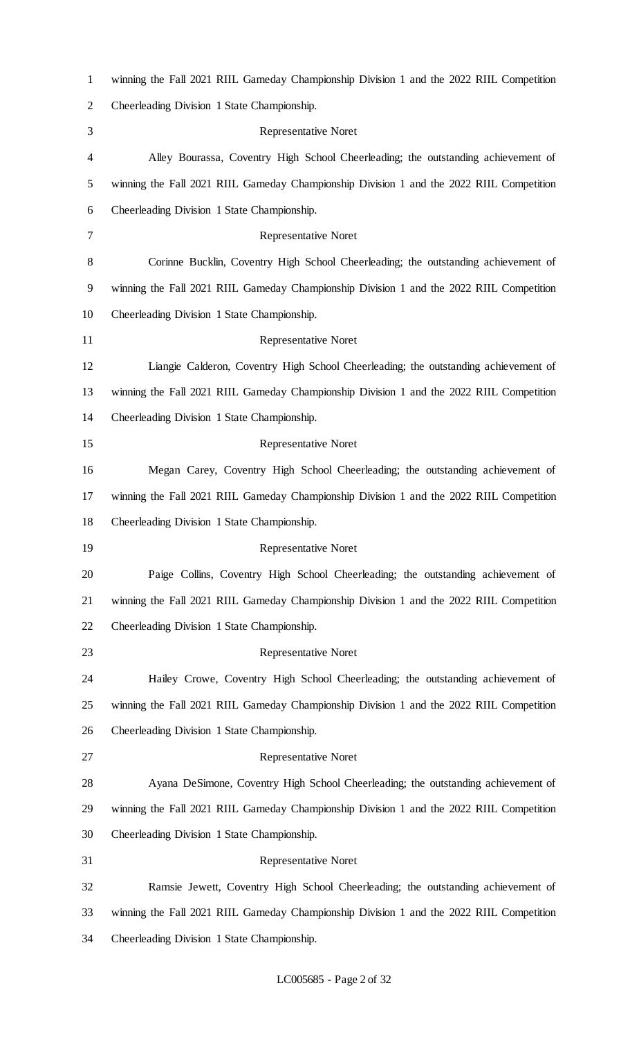| $\mathbf{1}$ | winning the Fall 2021 RIIL Gameday Championship Division 1 and the 2022 RIIL Competition |
|--------------|------------------------------------------------------------------------------------------|
| 2            | Cheerleading Division 1 State Championship.                                              |
| 3            | <b>Representative Noret</b>                                                              |
| 4            | Alley Bourassa, Coventry High School Cheerleading; the outstanding achievement of        |
| 5            | winning the Fall 2021 RIIL Gameday Championship Division 1 and the 2022 RIIL Competition |
| 6            | Cheerleading Division 1 State Championship.                                              |
| 7            | <b>Representative Noret</b>                                                              |
| 8            | Corinne Bucklin, Coventry High School Cheerleading; the outstanding achievement of       |
| 9            | winning the Fall 2021 RIIL Gameday Championship Division 1 and the 2022 RIIL Competition |
| 10           | Cheerleading Division 1 State Championship.                                              |
| 11           | <b>Representative Noret</b>                                                              |
| 12           | Liangie Calderon, Coventry High School Cheerleading; the outstanding achievement of      |
| 13           | winning the Fall 2021 RIIL Gameday Championship Division 1 and the 2022 RIIL Competition |
| 14           | Cheerleading Division 1 State Championship.                                              |
| 15           | <b>Representative Noret</b>                                                              |
| 16           | Megan Carey, Coventry High School Cheerleading; the outstanding achievement of           |
| 17           | winning the Fall 2021 RIIL Gameday Championship Division 1 and the 2022 RIIL Competition |
| 18           | Cheerleading Division 1 State Championship.                                              |
| 19           | <b>Representative Noret</b>                                                              |
| 20           | Paige Collins, Coventry High School Cheerleading; the outstanding achievement of         |
| 21           | winning the Fall 2021 RIIL Gameday Championship Division 1 and the 2022 RIIL Competition |
| 22           | Cheerleading Division 1 State Championship.                                              |
| 23           | <b>Representative Noret</b>                                                              |
| 24           | Hailey Crowe, Coventry High School Cheerleading; the outstanding achievement of          |
| 25           | winning the Fall 2021 RIIL Gameday Championship Division 1 and the 2022 RIIL Competition |
| 26           | Cheerleading Division 1 State Championship.                                              |
| 27           | <b>Representative Noret</b>                                                              |
| 28           | Ayana DeSimone, Coventry High School Cheerleading; the outstanding achievement of        |
| 29           | winning the Fall 2021 RIIL Gameday Championship Division 1 and the 2022 RIIL Competition |
| 30           | Cheerleading Division 1 State Championship.                                              |
| 31           | <b>Representative Noret</b>                                                              |
| 32           | Ramsie Jewett, Coventry High School Cheerleading; the outstanding achievement of         |
| 33           | winning the Fall 2021 RIIL Gameday Championship Division 1 and the 2022 RIIL Competition |
| 34           | Cheerleading Division 1 State Championship.                                              |

LC005685 - Page 2 of 32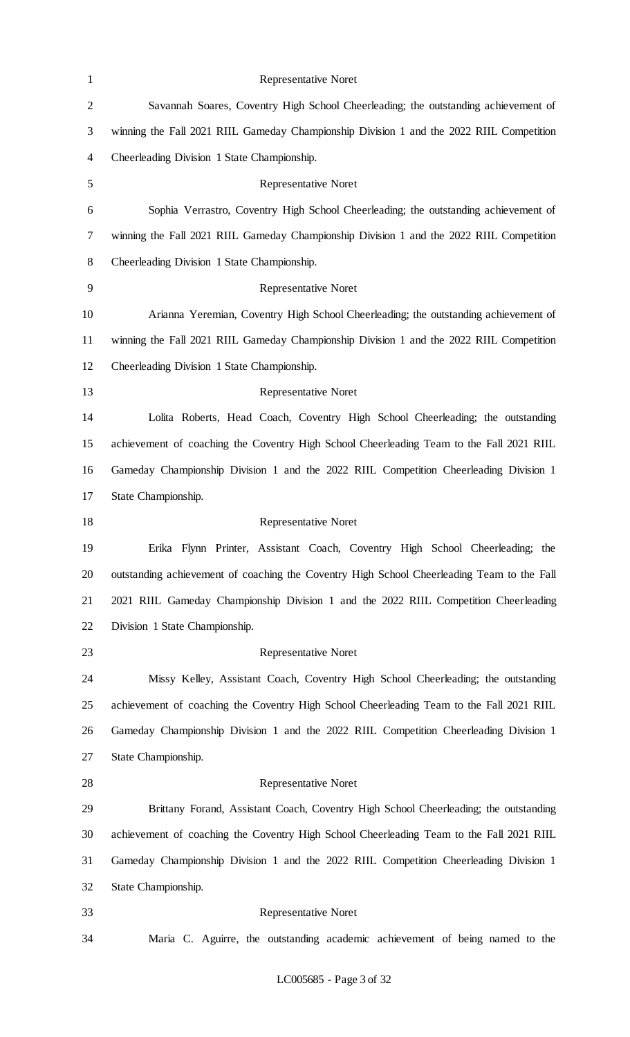| $\mathbf{1}$   | <b>Representative Noret</b>                                                                |
|----------------|--------------------------------------------------------------------------------------------|
| $\overline{2}$ | Savannah Soares, Coventry High School Cheerleading; the outstanding achievement of         |
| $\mathfrak{Z}$ | winning the Fall 2021 RIIL Gameday Championship Division 1 and the 2022 RIIL Competition   |
| $\overline{4}$ | Cheerleading Division 1 State Championship.                                                |
| $\mathfrak{S}$ | <b>Representative Noret</b>                                                                |
| 6              | Sophia Verrastro, Coventry High School Cheerleading; the outstanding achievement of        |
| $\tau$         | winning the Fall 2021 RIIL Gameday Championship Division 1 and the 2022 RIIL Competition   |
| $8\,$          | Cheerleading Division 1 State Championship.                                                |
| 9              | <b>Representative Noret</b>                                                                |
| 10             | Arianna Yeremian, Coventry High School Cheerleading; the outstanding achievement of        |
| 11             | winning the Fall 2021 RIIL Gameday Championship Division 1 and the 2022 RIIL Competition   |
| 12             | Cheerleading Division 1 State Championship.                                                |
| 13             | <b>Representative Noret</b>                                                                |
| 14             | Lolita Roberts, Head Coach, Coventry High School Cheerleading; the outstanding             |
| 15             | achievement of coaching the Coventry High School Cheerleading Team to the Fall 2021 RIIL   |
| 16             | Gameday Championship Division 1 and the 2022 RIIL Competition Cheerleading Division 1      |
| 17             | State Championship.                                                                        |
| 18             | <b>Representative Noret</b>                                                                |
| 19             | Erika Flynn Printer, Assistant Coach, Coventry High School Cheerleading; the               |
| 20             | outstanding achievement of coaching the Coventry High School Cheerleading Team to the Fall |
| 21             | 2021 RIIL Gameday Championship Division 1 and the 2022 RIIL Competition Cheerleading       |
| 22             | Division 1 State Championship.                                                             |
| 23             | <b>Representative Noret</b>                                                                |
| 24             | Missy Kelley, Assistant Coach, Coventry High School Cheerleading; the outstanding          |
| 25             | achievement of coaching the Coventry High School Cheerleading Team to the Fall 2021 RIIL   |
| 26             | Gameday Championship Division 1 and the 2022 RIIL Competition Cheerleading Division 1      |
| 27             | State Championship.                                                                        |
| 28             | Representative Noret                                                                       |
| 29             | Brittany Forand, Assistant Coach, Coventry High School Cheerleading; the outstanding       |
| 30             | achievement of coaching the Coventry High School Cheerleading Team to the Fall 2021 RIIL   |
| 31             | Gameday Championship Division 1 and the 2022 RIIL Competition Cheerleading Division 1      |
| 32             | State Championship.                                                                        |
| 33             | <b>Representative Noret</b>                                                                |
| 34             | Maria C. Aguirre, the outstanding academic achievement of being named to the               |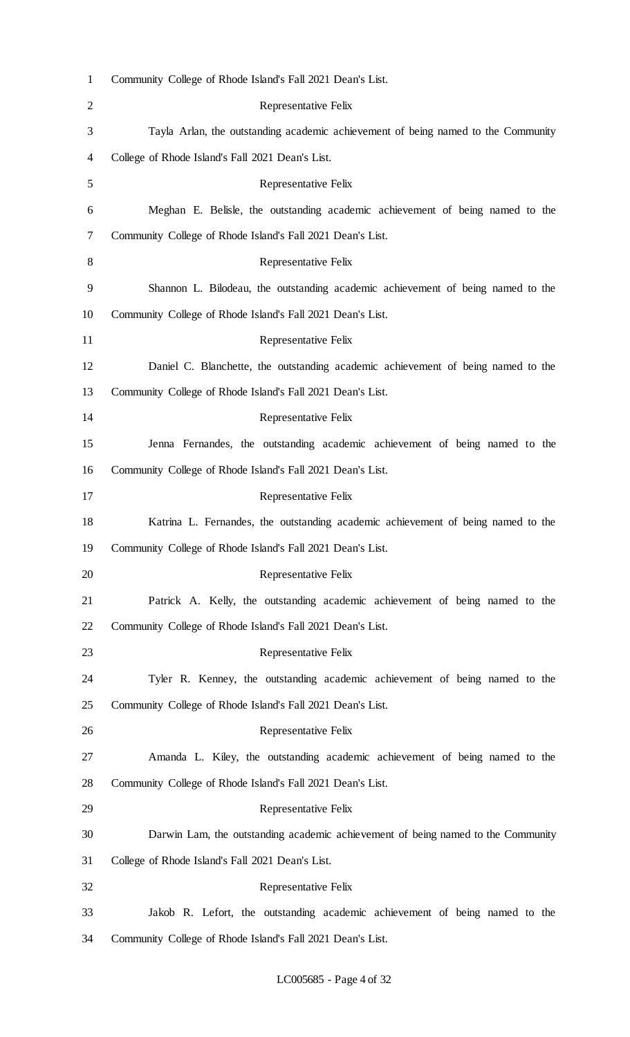| $\mathbf{1}$   | Community College of Rhode Island's Fall 2021 Dean's List.                        |
|----------------|-----------------------------------------------------------------------------------|
| $\overline{2}$ | Representative Felix                                                              |
| 3              | Tayla Arlan, the outstanding academic achievement of being named to the Community |
| 4              | College of Rhode Island's Fall 2021 Dean's List.                                  |
| 5              | Representative Felix                                                              |
| 6              | Meghan E. Belisle, the outstanding academic achievement of being named to the     |
| 7              | Community College of Rhode Island's Fall 2021 Dean's List.                        |
| 8              | Representative Felix                                                              |
| 9              | Shannon L. Bilodeau, the outstanding academic achievement of being named to the   |
| 10             | Community College of Rhode Island's Fall 2021 Dean's List.                        |
| 11             | Representative Felix                                                              |
| 12             | Daniel C. Blanchette, the outstanding academic achievement of being named to the  |
| 13             | Community College of Rhode Island's Fall 2021 Dean's List.                        |
| 14             | Representative Felix                                                              |
| 15             | Jenna Fernandes, the outstanding academic achievement of being named to the       |
| 16             | Community College of Rhode Island's Fall 2021 Dean's List.                        |
| 17             | Representative Felix                                                              |
| 18             | Katrina L. Fernandes, the outstanding academic achievement of being named to the  |
| 19             | Community College of Rhode Island's Fall 2021 Dean's List.                        |
| 20             | Representative Felix                                                              |
| 21             | Patrick A. Kelly, the outstanding academic achievement of being named to the      |
| 22             | Community College of Rhode Island's Fall 2021 Dean's List.                        |
| 23             | Representative Felix                                                              |
| 24             | Tyler R. Kenney, the outstanding academic achievement of being named to the       |
| 25             | Community College of Rhode Island's Fall 2021 Dean's List.                        |
| 26             | Representative Felix                                                              |
| 27             | Amanda L. Kiley, the outstanding academic achievement of being named to the       |
| 28             | Community College of Rhode Island's Fall 2021 Dean's List.                        |
| 29             | Representative Felix                                                              |
| 30             | Darwin Lam, the outstanding academic achievement of being named to the Community  |
| 31             | College of Rhode Island's Fall 2021 Dean's List.                                  |
| 32             | Representative Felix                                                              |
| 33             | Jakob R. Lefort, the outstanding academic achievement of being named to the       |
| 34             | Community College of Rhode Island's Fall 2021 Dean's List.                        |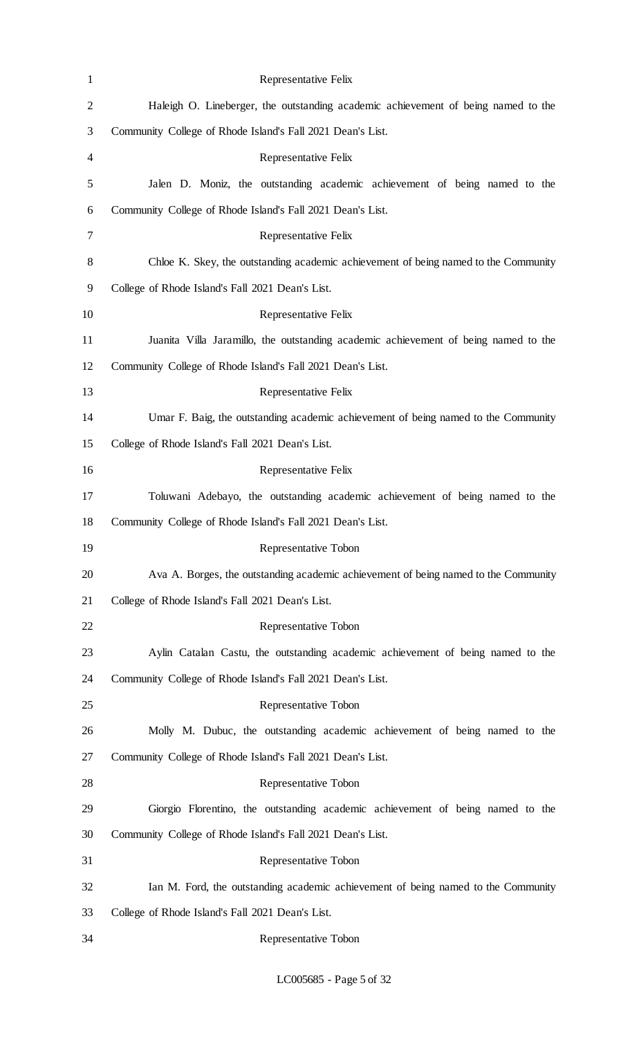| $\mathbf{1}$   | Representative Felix                                                                |
|----------------|-------------------------------------------------------------------------------------|
| $\overline{2}$ | Haleigh O. Lineberger, the outstanding academic achievement of being named to the   |
| 3              | Community College of Rhode Island's Fall 2021 Dean's List.                          |
| 4              | Representative Felix                                                                |
| 5              | Jalen D. Moniz, the outstanding academic achievement of being named to the          |
| 6              | Community College of Rhode Island's Fall 2021 Dean's List.                          |
| 7              | Representative Felix                                                                |
| 8              | Chloe K. Skey, the outstanding academic achievement of being named to the Community |
| 9              | College of Rhode Island's Fall 2021 Dean's List.                                    |
| 10             | Representative Felix                                                                |
| 11             | Juanita Villa Jaramillo, the outstanding academic achievement of being named to the |
| 12             | Community College of Rhode Island's Fall 2021 Dean's List.                          |
| 13             | Representative Felix                                                                |
| 14             | Umar F. Baig, the outstanding academic achievement of being named to the Community  |
| 15             | College of Rhode Island's Fall 2021 Dean's List.                                    |
| 16             | Representative Felix                                                                |
| 17             | Toluwani Adebayo, the outstanding academic achievement of being named to the        |
| 18             | Community College of Rhode Island's Fall 2021 Dean's List.                          |
| 19             | Representative Tobon                                                                |
| 20             | Ava A. Borges, the outstanding academic achievement of being named to the Community |
| 21             | College of Rhode Island's Fall 2021 Dean's List.                                    |
| 22             | Representative Tobon                                                                |
| 23             | Aylin Catalan Castu, the outstanding academic achievement of being named to the     |
| 24             | Community College of Rhode Island's Fall 2021 Dean's List.                          |
| 25             | Representative Tobon                                                                |
| 26             | Molly M. Dubuc, the outstanding academic achievement of being named to the          |
| 27             | Community College of Rhode Island's Fall 2021 Dean's List.                          |
| 28             | Representative Tobon                                                                |
| 29             | Giorgio Florentino, the outstanding academic achievement of being named to the      |
| 30             | Community College of Rhode Island's Fall 2021 Dean's List.                          |
| 31             | Representative Tobon                                                                |
| 32             | Ian M. Ford, the outstanding academic achievement of being named to the Community   |
| 33             | College of Rhode Island's Fall 2021 Dean's List.                                    |
| 34             | Representative Tobon                                                                |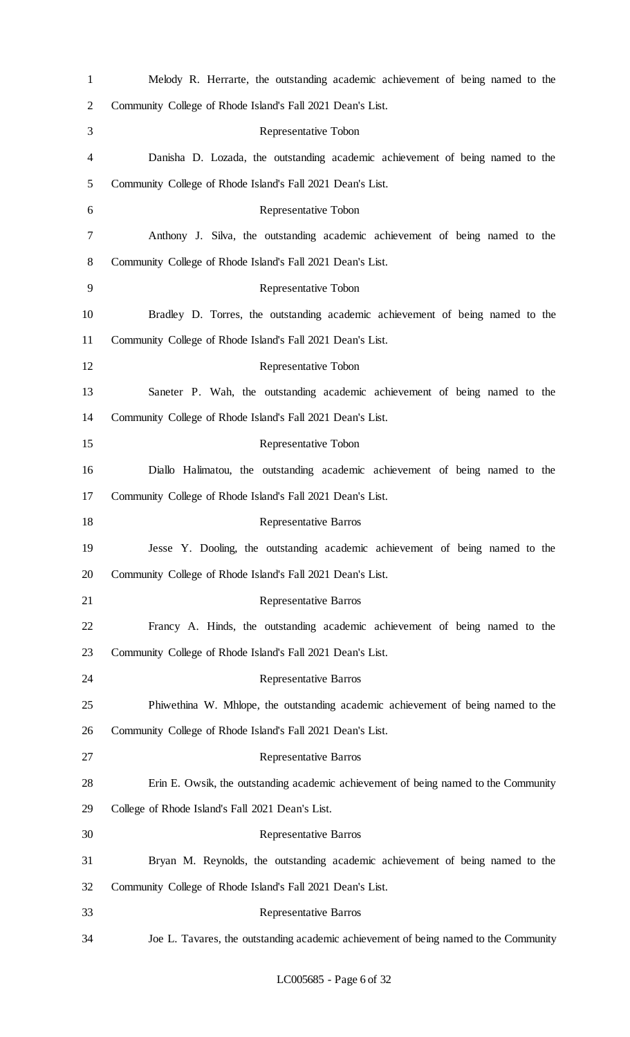| $\mathbf{1}$   | Melody R. Herrarte, the outstanding academic achievement of being named to the       |
|----------------|--------------------------------------------------------------------------------------|
| $\overline{c}$ | Community College of Rhode Island's Fall 2021 Dean's List.                           |
| 3              | Representative Tobon                                                                 |
| 4              | Danisha D. Lozada, the outstanding academic achievement of being named to the        |
| 5              | Community College of Rhode Island's Fall 2021 Dean's List.                           |
| 6              | Representative Tobon                                                                 |
| 7              | Anthony J. Silva, the outstanding academic achievement of being named to the         |
| 8              | Community College of Rhode Island's Fall 2021 Dean's List.                           |
| 9              | Representative Tobon                                                                 |
| 10             | Bradley D. Torres, the outstanding academic achievement of being named to the        |
| 11             | Community College of Rhode Island's Fall 2021 Dean's List.                           |
| 12             | Representative Tobon                                                                 |
| 13             | Saneter P. Wah, the outstanding academic achievement of being named to the           |
| 14             | Community College of Rhode Island's Fall 2021 Dean's List.                           |
| 15             | Representative Tobon                                                                 |
| 16             | Diallo Halimatou, the outstanding academic achievement of being named to the         |
| 17             | Community College of Rhode Island's Fall 2021 Dean's List.                           |
| 18             | <b>Representative Barros</b>                                                         |
| 19             | Jesse Y. Dooling, the outstanding academic achievement of being named to the         |
| 20             | Community College of Rhode Island's Fall 2021 Dean's List.                           |
| 21             | <b>Representative Barros</b>                                                         |
| 22             | Francy A. Hinds, the outstanding academic achievement of being named to the          |
| 23             | Community College of Rhode Island's Fall 2021 Dean's List.                           |
| 24             | <b>Representative Barros</b>                                                         |
| 25             | Phiwethina W. Mhlope, the outstanding academic achievement of being named to the     |
| 26             | Community College of Rhode Island's Fall 2021 Dean's List.                           |
| 27             | <b>Representative Barros</b>                                                         |
| 28             | Erin E. Owsik, the outstanding academic achievement of being named to the Community  |
| 29             | College of Rhode Island's Fall 2021 Dean's List.                                     |
| 30             | <b>Representative Barros</b>                                                         |
| 31             | Bryan M. Reynolds, the outstanding academic achievement of being named to the        |
| 32             | Community College of Rhode Island's Fall 2021 Dean's List.                           |
| 33             | <b>Representative Barros</b>                                                         |
| 34             | Joe L. Tavares, the outstanding academic achievement of being named to the Community |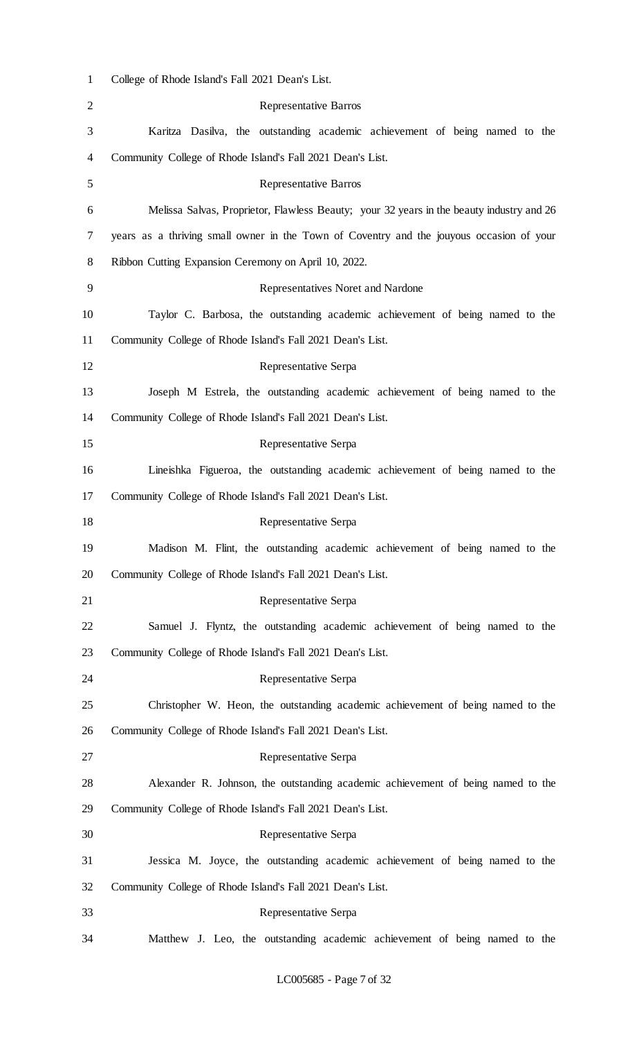| $\mathbf{1}$   | College of Rhode Island's Fall 2021 Dean's List.                                         |
|----------------|------------------------------------------------------------------------------------------|
| $\overline{2}$ | <b>Representative Barros</b>                                                             |
| 3              | Karitza Dasilva, the outstanding academic achievement of being named to the              |
| 4              | Community College of Rhode Island's Fall 2021 Dean's List.                               |
| 5              | <b>Representative Barros</b>                                                             |
| 6              | Melissa Salvas, Proprietor, Flawless Beauty; your 32 years in the beauty industry and 26 |
| 7              | years as a thriving small owner in the Town of Coventry and the jouyous occasion of your |
| 8              | Ribbon Cutting Expansion Ceremony on April 10, 2022.                                     |
| 9              | Representatives Noret and Nardone                                                        |
| 10             | Taylor C. Barbosa, the outstanding academic achievement of being named to the            |
| 11             | Community College of Rhode Island's Fall 2021 Dean's List.                               |
| 12             | Representative Serpa                                                                     |
| 13             | Joseph M Estrela, the outstanding academic achievement of being named to the             |
| 14             | Community College of Rhode Island's Fall 2021 Dean's List.                               |
| 15             | Representative Serpa                                                                     |
| 16             | Lineishka Figueroa, the outstanding academic achievement of being named to the           |
| 17             | Community College of Rhode Island's Fall 2021 Dean's List.                               |
| 18             | Representative Serpa                                                                     |
| 19             | Madison M. Flint, the outstanding academic achievement of being named to the             |
| 20             | Community College of Rhode Island's Fall 2021 Dean's List.                               |
| 21             | Representative Serpa                                                                     |
| 22             | Samuel J. Flyntz, the outstanding academic achievement of being named to the             |
| 23             | Community College of Rhode Island's Fall 2021 Dean's List.                               |
| 24             | Representative Serpa                                                                     |
| 25             | Christopher W. Heon, the outstanding academic achievement of being named to the          |
| 26             | Community College of Rhode Island's Fall 2021 Dean's List.                               |
| 27             | Representative Serpa                                                                     |
| 28             | Alexander R. Johnson, the outstanding academic achievement of being named to the         |
| 29             | Community College of Rhode Island's Fall 2021 Dean's List.                               |
| 30             | Representative Serpa                                                                     |
| 31             | Jessica M. Joyce, the outstanding academic achievement of being named to the             |
| 32             | Community College of Rhode Island's Fall 2021 Dean's List.                               |
| 33             | Representative Serpa                                                                     |
| 34             | Matthew J. Leo, the outstanding academic achievement of being named to the               |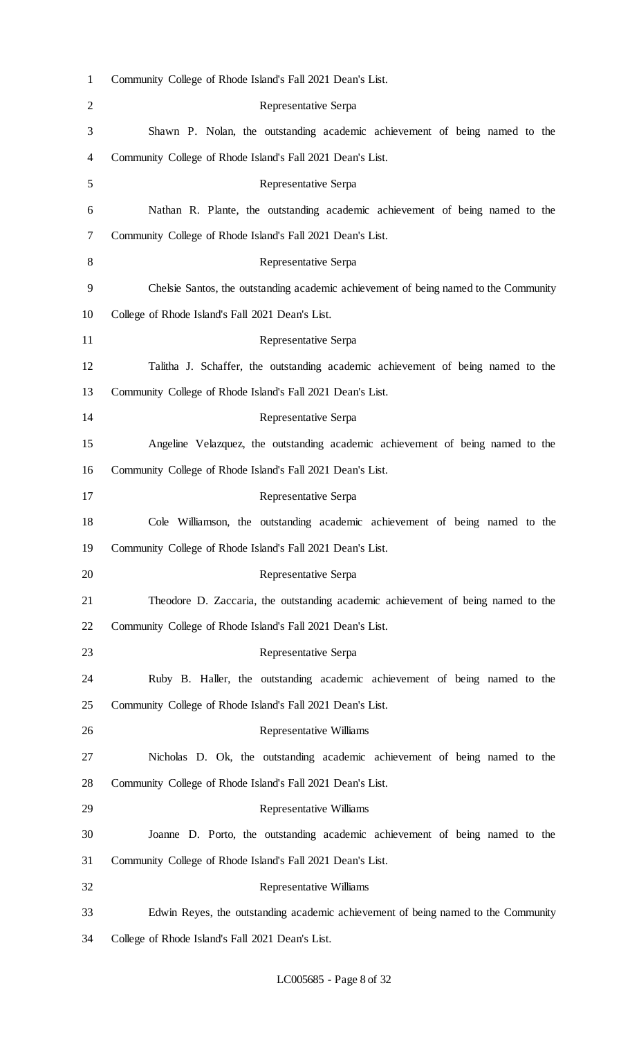| $\mathbf{1}$   | Community College of Rhode Island's Fall 2021 Dean's List.                           |
|----------------|--------------------------------------------------------------------------------------|
| $\overline{2}$ | Representative Serpa                                                                 |
| 3              | Shawn P. Nolan, the outstanding academic achievement of being named to the           |
| 4              | Community College of Rhode Island's Fall 2021 Dean's List.                           |
| 5              | Representative Serpa                                                                 |
| 6              | Nathan R. Plante, the outstanding academic achievement of being named to the         |
| 7              | Community College of Rhode Island's Fall 2021 Dean's List.                           |
| 8              | Representative Serpa                                                                 |
| 9              | Chelsie Santos, the outstanding academic achievement of being named to the Community |
| 10             | College of Rhode Island's Fall 2021 Dean's List.                                     |
| 11             | Representative Serpa                                                                 |
| 12             | Talitha J. Schaffer, the outstanding academic achievement of being named to the      |
| 13             | Community College of Rhode Island's Fall 2021 Dean's List.                           |
| 14             | Representative Serpa                                                                 |
| 15             | Angeline Velazquez, the outstanding academic achievement of being named to the       |
| 16             | Community College of Rhode Island's Fall 2021 Dean's List.                           |
| 17             | Representative Serpa                                                                 |
| 18             | Cole Williamson, the outstanding academic achievement of being named to the          |
| 19             | Community College of Rhode Island's Fall 2021 Dean's List.                           |
| 20             | Representative Serpa                                                                 |
| 21             | Theodore D. Zaccaria, the outstanding academic achievement of being named to the     |
| 22             | Community College of Rhode Island's Fall 2021 Dean's List.                           |
| 23             | Representative Serpa                                                                 |
| 24             | Ruby B. Haller, the outstanding academic achievement of being named to the           |
| 25             | Community College of Rhode Island's Fall 2021 Dean's List.                           |
| 26             | Representative Williams                                                              |
| 27             | Nicholas D. Ok, the outstanding academic achievement of being named to the           |
| 28             | Community College of Rhode Island's Fall 2021 Dean's List.                           |
| 29             | Representative Williams                                                              |
| 30             | Joanne D. Porto, the outstanding academic achievement of being named to the          |
| 31             | Community College of Rhode Island's Fall 2021 Dean's List.                           |
| 32             | Representative Williams                                                              |
| 33             | Edwin Reyes, the outstanding academic achievement of being named to the Community    |
| 34             | College of Rhode Island's Fall 2021 Dean's List.                                     |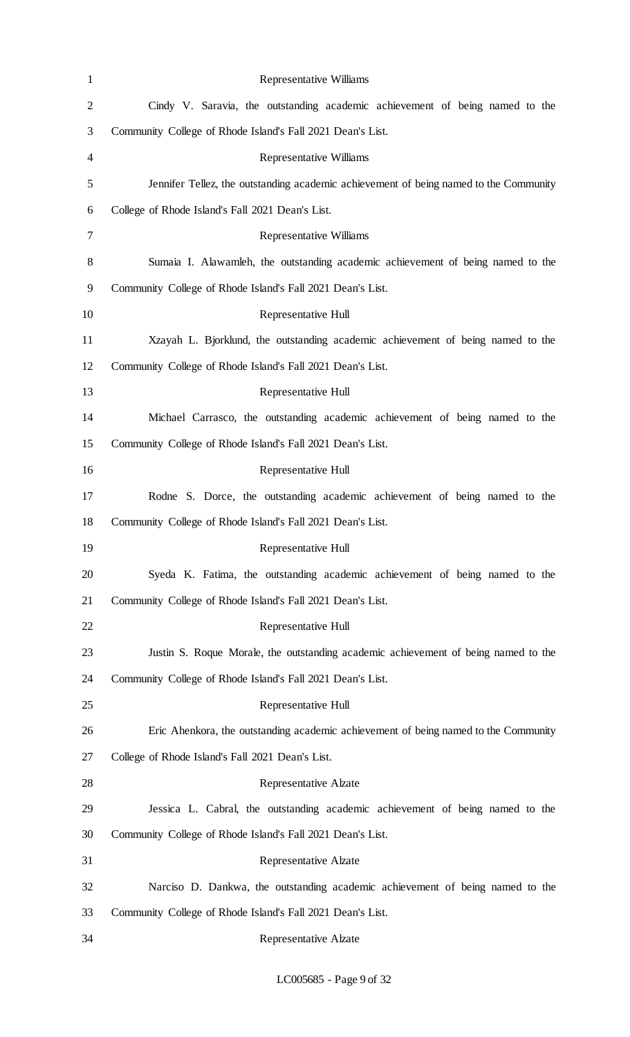| $\mathbf{1}$   | <b>Representative Williams</b>                                                        |
|----------------|---------------------------------------------------------------------------------------|
| $\overline{2}$ | Cindy V. Saravia, the outstanding academic achievement of being named to the          |
| 3              | Community College of Rhode Island's Fall 2021 Dean's List.                            |
| 4              | <b>Representative Williams</b>                                                        |
| 5              | Jennifer Tellez, the outstanding academic achievement of being named to the Community |
| 6              | College of Rhode Island's Fall 2021 Dean's List.                                      |
| 7              | Representative Williams                                                               |
| 8              | Sumaia I. Alawamleh, the outstanding academic achievement of being named to the       |
| 9              | Community College of Rhode Island's Fall 2021 Dean's List.                            |
| 10             | Representative Hull                                                                   |
| 11             | Xzayah L. Bjorklund, the outstanding academic achievement of being named to the       |
| 12             | Community College of Rhode Island's Fall 2021 Dean's List.                            |
| 13             | Representative Hull                                                                   |
| 14             | Michael Carrasco, the outstanding academic achievement of being named to the          |
| 15             | Community College of Rhode Island's Fall 2021 Dean's List.                            |
| 16             | Representative Hull                                                                   |
| 17             | Rodne S. Dorce, the outstanding academic achievement of being named to the            |
| 18             | Community College of Rhode Island's Fall 2021 Dean's List.                            |
| 19             | Representative Hull                                                                   |
| 20             | Syeda K. Fatima, the outstanding academic achievement of being named to the           |
| 21             | Community College of Rhode Island's Fall 2021 Dean's List.                            |
| 22             | Representative Hull                                                                   |
| 23             | Justin S. Roque Morale, the outstanding academic achievement of being named to the    |
| 24             | Community College of Rhode Island's Fall 2021 Dean's List.                            |
| 25             | Representative Hull                                                                   |
| 26             | Eric Ahenkora, the outstanding academic achievement of being named to the Community   |
| 27             | College of Rhode Island's Fall 2021 Dean's List.                                      |
| 28             | Representative Alzate                                                                 |
| 29             | Jessica L. Cabral, the outstanding academic achievement of being named to the         |
| 30             | Community College of Rhode Island's Fall 2021 Dean's List.                            |
| 31             | <b>Representative Alzate</b>                                                          |
| 32             | Narciso D. Dankwa, the outstanding academic achievement of being named to the         |
| 33             | Community College of Rhode Island's Fall 2021 Dean's List.                            |
| 34             | <b>Representative Alzate</b>                                                          |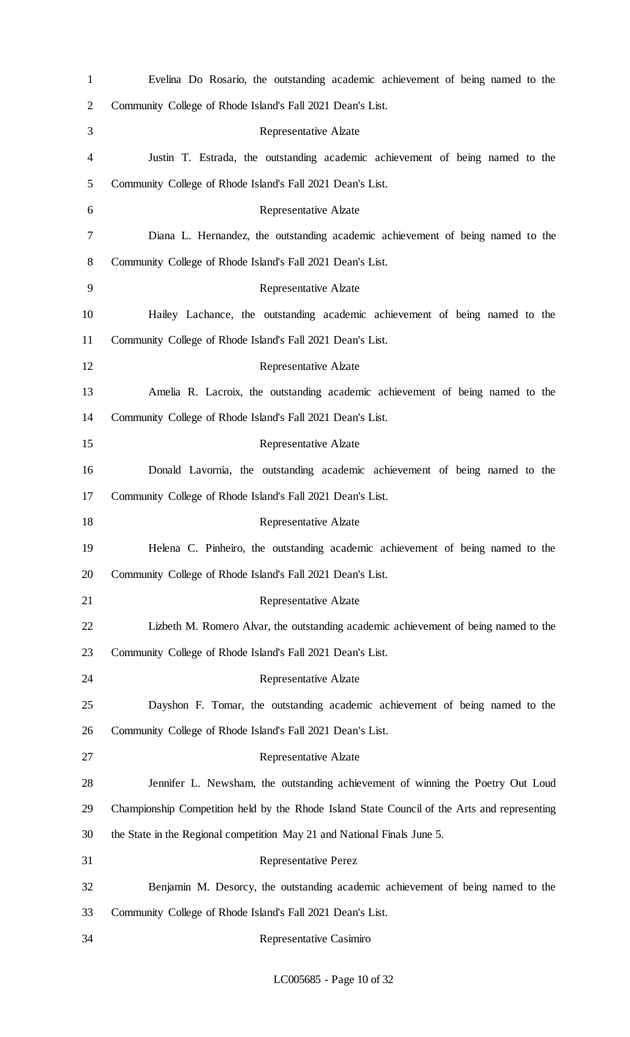| $\mathbf{1}$   | Evelina Do Rosario, the outstanding academic achievement of being named to the               |
|----------------|----------------------------------------------------------------------------------------------|
| $\overline{c}$ | Community College of Rhode Island's Fall 2021 Dean's List.                                   |
| 3              | Representative Alzate                                                                        |
| 4              | Justin T. Estrada, the outstanding academic achievement of being named to the                |
| 5              | Community College of Rhode Island's Fall 2021 Dean's List.                                   |
| 6              | Representative Alzate                                                                        |
| 7              | Diana L. Hernandez, the outstanding academic achievement of being named to the               |
| 8              | Community College of Rhode Island's Fall 2021 Dean's List.                                   |
| 9              | Representative Alzate                                                                        |
| 10             | Hailey Lachance, the outstanding academic achievement of being named to the                  |
| 11             | Community College of Rhode Island's Fall 2021 Dean's List.                                   |
| 12             | <b>Representative Alzate</b>                                                                 |
| 13             | Amelia R. Lacroix, the outstanding academic achievement of being named to the                |
| 14             | Community College of Rhode Island's Fall 2021 Dean's List.                                   |
| 15             | Representative Alzate                                                                        |
| 16             | Donald Lavornia, the outstanding academic achievement of being named to the                  |
| 17             | Community College of Rhode Island's Fall 2021 Dean's List.                                   |
| 18             | Representative Alzate                                                                        |
| 19             | Helena C. Pinheiro, the outstanding academic achievement of being named to the               |
| 20             | Community College of Rhode Island's Fall 2021 Dean's List.                                   |
| 21             | <b>Representative Alzate</b>                                                                 |
| 22             | Lizbeth M. Romero Alvar, the outstanding academic achievement of being named to the          |
| 23             | Community College of Rhode Island's Fall 2021 Dean's List.                                   |
| 24             | Representative Alzate                                                                        |
| 25             | Dayshon F. Tomar, the outstanding academic achievement of being named to the                 |
| 26             | Community College of Rhode Island's Fall 2021 Dean's List.                                   |
| 27             | Representative Alzate                                                                        |
| 28             | Jennifer L. Newsham, the outstanding achievement of winning the Poetry Out Loud              |
| 29             | Championship Competition held by the Rhode Island State Council of the Arts and representing |
| 30             | the State in the Regional competition May 21 and National Finals June 5.                     |
| 31             | <b>Representative Perez</b>                                                                  |
| 32             | Benjamin M. Desorcy, the outstanding academic achievement of being named to the              |
| 33             | Community College of Rhode Island's Fall 2021 Dean's List.                                   |
| 34             | Representative Casimiro                                                                      |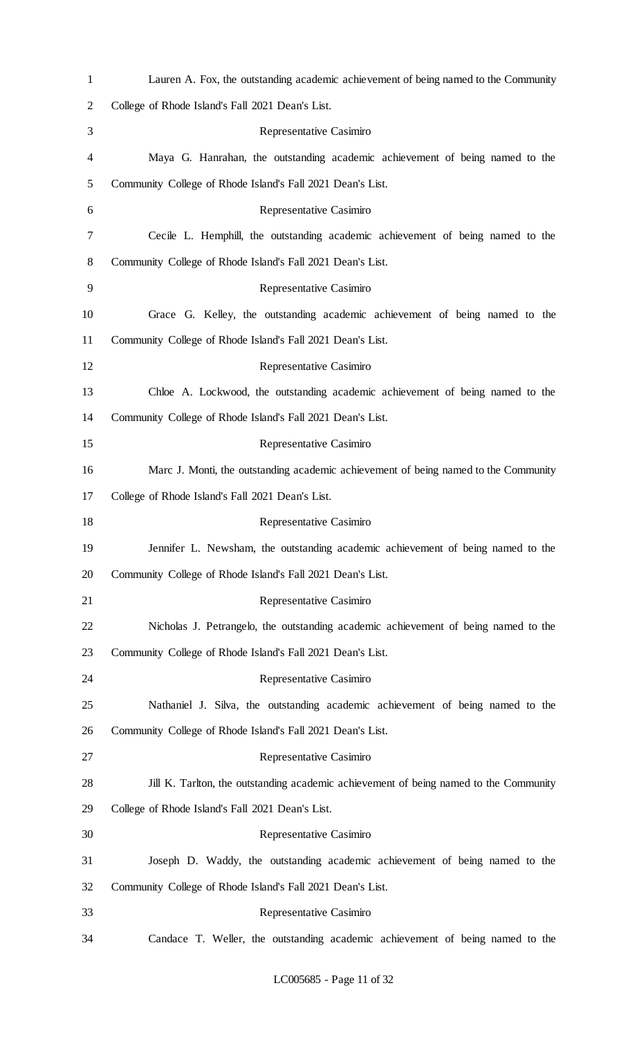| $\mathbf{1}$   | Lauren A. Fox, the outstanding academic achievement of being named to the Community   |
|----------------|---------------------------------------------------------------------------------------|
| $\overline{c}$ | College of Rhode Island's Fall 2021 Dean's List.                                      |
| 3              | Representative Casimiro                                                               |
| 4              | Maya G. Hanrahan, the outstanding academic achievement of being named to the          |
| 5              | Community College of Rhode Island's Fall 2021 Dean's List.                            |
| 6              | Representative Casimiro                                                               |
| 7              | Cecile L. Hemphill, the outstanding academic achievement of being named to the        |
| 8              | Community College of Rhode Island's Fall 2021 Dean's List.                            |
| 9              | Representative Casimiro                                                               |
| 10             | Grace G. Kelley, the outstanding academic achievement of being named to the           |
| 11             | Community College of Rhode Island's Fall 2021 Dean's List.                            |
| 12             | Representative Casimiro                                                               |
| 13             | Chloe A. Lockwood, the outstanding academic achievement of being named to the         |
| 14             | Community College of Rhode Island's Fall 2021 Dean's List.                            |
| 15             | Representative Casimiro                                                               |
| 16             | Marc J. Monti, the outstanding academic achievement of being named to the Community   |
| 17             | College of Rhode Island's Fall 2021 Dean's List.                                      |
| 18             | Representative Casimiro                                                               |
| 19             | Jennifer L. Newsham, the outstanding academic achievement of being named to the       |
| 20             | Community College of Rhode Island's Fall 2021 Dean's List.                            |
| 21             | Representative Casimiro                                                               |
| 22             | Nicholas J. Petrangelo, the outstanding academic achievement of being named to the    |
| 23             | Community College of Rhode Island's Fall 2021 Dean's List.                            |
| 24             | Representative Casimiro                                                               |
| 25             | Nathaniel J. Silva, the outstanding academic achievement of being named to the        |
| 26             | Community College of Rhode Island's Fall 2021 Dean's List.                            |
| 27             | Representative Casimiro                                                               |
| 28             | Jill K. Tarlton, the outstanding academic achievement of being named to the Community |
| 29             | College of Rhode Island's Fall 2021 Dean's List.                                      |
| 30             | Representative Casimiro                                                               |
| 31             | Joseph D. Waddy, the outstanding academic achievement of being named to the           |
| 32             | Community College of Rhode Island's Fall 2021 Dean's List.                            |
| 33             | Representative Casimiro                                                               |
| 34             | Candace T. Weller, the outstanding academic achievement of being named to the         |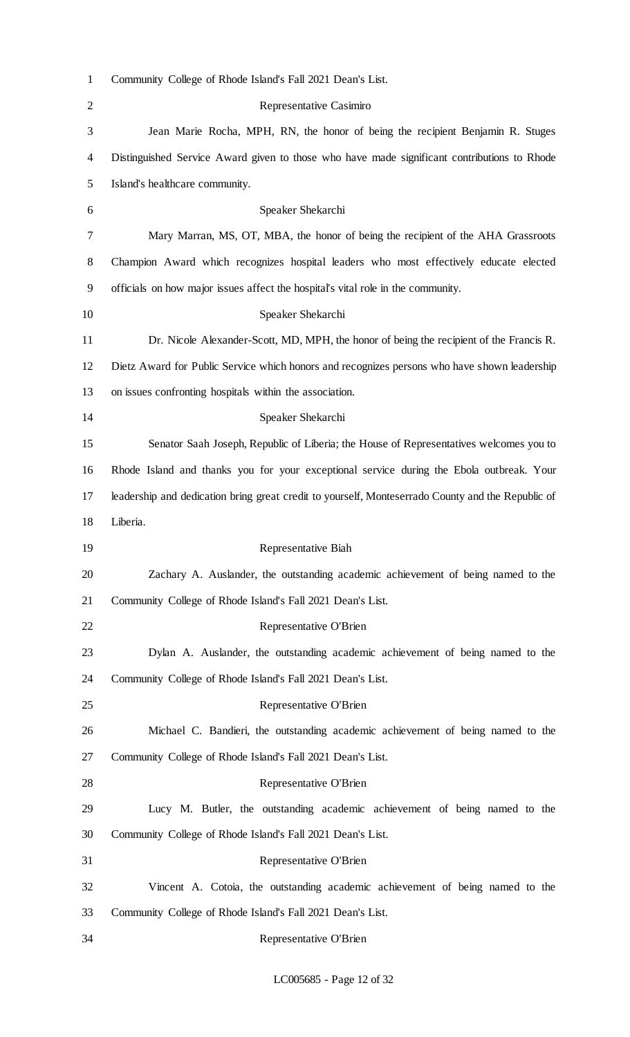| $\mathbf{1}$   | Community College of Rhode Island's Fall 2021 Dean's List.                                        |
|----------------|---------------------------------------------------------------------------------------------------|
| $\overline{2}$ | Representative Casimiro                                                                           |
| 3              | Jean Marie Rocha, MPH, RN, the honor of being the recipient Benjamin R. Stuges                    |
| 4              | Distinguished Service Award given to those who have made significant contributions to Rhode       |
| 5              | Island's healthcare community.                                                                    |
| 6              | Speaker Shekarchi                                                                                 |
| 7              | Mary Marran, MS, OT, MBA, the honor of being the recipient of the AHA Grassroots                  |
| 8              | Champion Award which recognizes hospital leaders who most effectively educate elected             |
| 9              | officials on how major issues affect the hospital's vital role in the community.                  |
| 10             | Speaker Shekarchi                                                                                 |
| 11             | Dr. Nicole Alexander-Scott, MD, MPH, the honor of being the recipient of the Francis R.           |
| 12             | Dietz Award for Public Service which honors and recognizes persons who have shown leadership      |
| 13             | on issues confronting hospitals within the association.                                           |
| 14             | Speaker Shekarchi                                                                                 |
| 15             | Senator Saah Joseph, Republic of Liberia; the House of Representatives welcomes you to            |
| 16             | Rhode Island and thanks you for your exceptional service during the Ebola outbreak. Your          |
| 17             | leadership and dedication bring great credit to yourself, Monteserrado County and the Republic of |
| 18             | Liberia.                                                                                          |
| 19             | Representative Biah                                                                               |
| 20             | Zachary A. Auslander, the outstanding academic achievement of being named to the                  |
| 21             | Community College of Rhode Island's Fall 2021 Dean's List.                                        |
| 22             | Representative O'Brien                                                                            |
| 23             | Dylan A. Auslander, the outstanding academic achievement of being named to the                    |
| 24             | Community College of Rhode Island's Fall 2021 Dean's List.                                        |
| 25             | Representative O'Brien                                                                            |
| 26             | Michael C. Bandieri, the outstanding academic achievement of being named to the                   |
| 27             | Community College of Rhode Island's Fall 2021 Dean's List.                                        |
| 28             | Representative O'Brien                                                                            |
| 29             | Lucy M. Butler, the outstanding academic achievement of being named to the                        |
| 30             | Community College of Rhode Island's Fall 2021 Dean's List.                                        |
| 31             | Representative O'Brien                                                                            |
| 32             | Vincent A. Cotoia, the outstanding academic achievement of being named to the                     |
| 33             | Community College of Rhode Island's Fall 2021 Dean's List.                                        |
| 34             | Representative O'Brien                                                                            |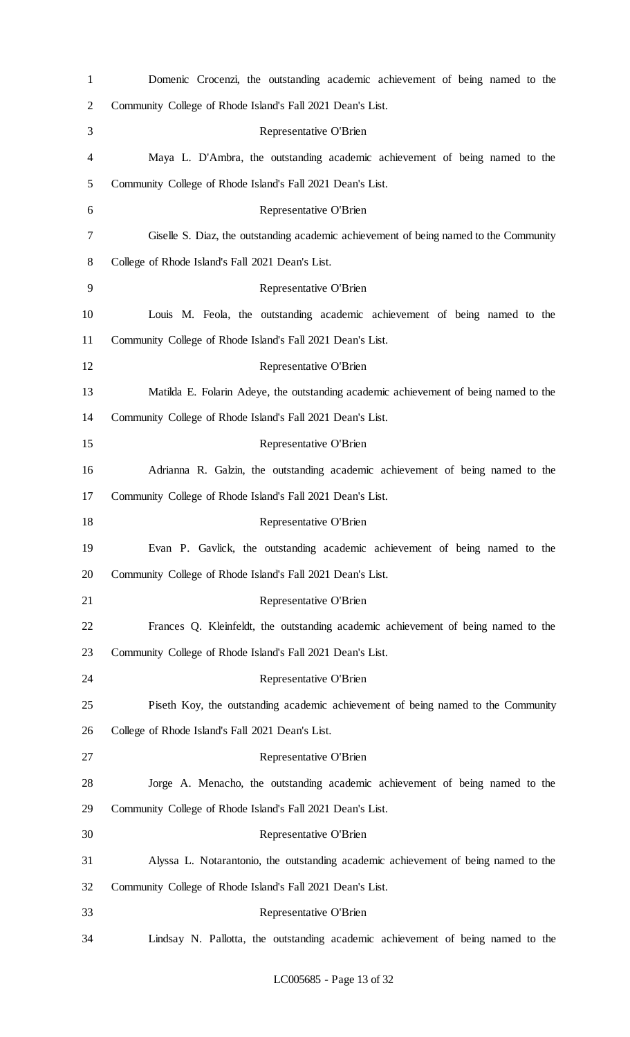| $\mathbf{1}$   | Domenic Crocenzi, the outstanding academic achievement of being named to the          |
|----------------|---------------------------------------------------------------------------------------|
| $\overline{c}$ | Community College of Rhode Island's Fall 2021 Dean's List.                            |
| 3              | Representative O'Brien                                                                |
| 4              | Maya L. D'Ambra, the outstanding academic achievement of being named to the           |
| 5              | Community College of Rhode Island's Fall 2021 Dean's List.                            |
| 6              | Representative O'Brien                                                                |
| 7              | Giselle S. Diaz, the outstanding academic achievement of being named to the Community |
| 8              | College of Rhode Island's Fall 2021 Dean's List.                                      |
| 9              | Representative O'Brien                                                                |
| 10             | Louis M. Feola, the outstanding academic achievement of being named to the            |
| 11             | Community College of Rhode Island's Fall 2021 Dean's List.                            |
| 12             | Representative O'Brien                                                                |
| 13             | Matilda E. Folarin Adeye, the outstanding academic achievement of being named to the  |
| 14             | Community College of Rhode Island's Fall 2021 Dean's List.                            |
| 15             | Representative O'Brien                                                                |
| 16             | Adrianna R. Galzin, the outstanding academic achievement of being named to the        |
| 17             | Community College of Rhode Island's Fall 2021 Dean's List.                            |
| 18             | Representative O'Brien                                                                |
| 19             | Evan P. Gavlick, the outstanding academic achievement of being named to the           |
| 20             | Community College of Rhode Island's Fall 2021 Dean's List.                            |
| 21             | Representative O'Brien                                                                |
| 22             | Frances Q. Kleinfeldt, the outstanding academic achievement of being named to the     |
| 23             | Community College of Rhode Island's Fall 2021 Dean's List.                            |
| 24             | Representative O'Brien                                                                |
| 25             | Piseth Koy, the outstanding academic achievement of being named to the Community      |
| 26             | College of Rhode Island's Fall 2021 Dean's List.                                      |
| 27             | Representative O'Brien                                                                |
| 28             | Jorge A. Menacho, the outstanding academic achievement of being named to the          |
| 29             | Community College of Rhode Island's Fall 2021 Dean's List.                            |
| 30             | Representative O'Brien                                                                |
| 31             | Alyssa L. Notarantonio, the outstanding academic achievement of being named to the    |
| 32             | Community College of Rhode Island's Fall 2021 Dean's List.                            |
| 33             | Representative O'Brien                                                                |
| 34             | Lindsay N. Pallotta, the outstanding academic achievement of being named to the       |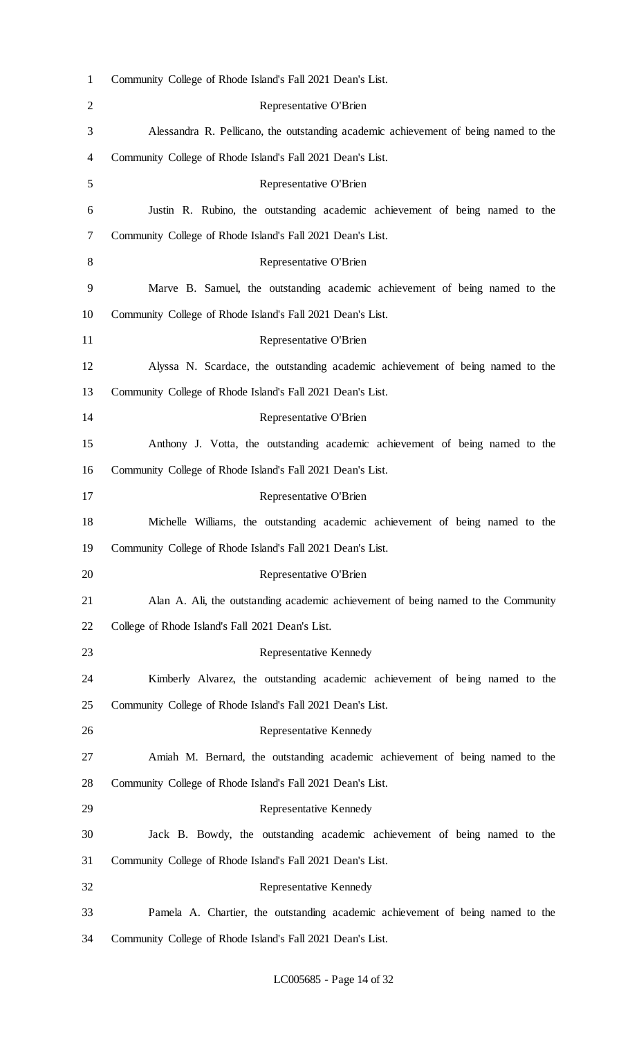| $\mathbf{1}$   | Community College of Rhode Island's Fall 2021 Dean's List.                          |
|----------------|-------------------------------------------------------------------------------------|
| $\overline{2}$ | Representative O'Brien                                                              |
| 3              | Alessandra R. Pellicano, the outstanding academic achievement of being named to the |
| 4              | Community College of Rhode Island's Fall 2021 Dean's List.                          |
| 5              | Representative O'Brien                                                              |
| 6              | Justin R. Rubino, the outstanding academic achievement of being named to the        |
| 7              | Community College of Rhode Island's Fall 2021 Dean's List.                          |
| 8              | Representative O'Brien                                                              |
| 9              | Marve B. Samuel, the outstanding academic achievement of being named to the         |
| 10             | Community College of Rhode Island's Fall 2021 Dean's List.                          |
| 11             | Representative O'Brien                                                              |
| 12             | Alyssa N. Scardace, the outstanding academic achievement of being named to the      |
| 13             | Community College of Rhode Island's Fall 2021 Dean's List.                          |
| 14             | Representative O'Brien                                                              |
| 15             | Anthony J. Votta, the outstanding academic achievement of being named to the        |
| 16             | Community College of Rhode Island's Fall 2021 Dean's List.                          |
| 17             | Representative O'Brien                                                              |
| 18             | Michelle Williams, the outstanding academic achievement of being named to the       |
| 19             | Community College of Rhode Island's Fall 2021 Dean's List.                          |
| 20             | Representative O'Brien                                                              |
| 21             | Alan A. Ali, the outstanding academic achievement of being named to the Community   |
| 22             | College of Rhode Island's Fall 2021 Dean's List.                                    |
| 23             | Representative Kennedy                                                              |
| 24             | Kimberly Alvarez, the outstanding academic achievement of being named to the        |
| 25             | Community College of Rhode Island's Fall 2021 Dean's List.                          |
| 26             | Representative Kennedy                                                              |
| 27             | Amiah M. Bernard, the outstanding academic achievement of being named to the        |
| 28             | Community College of Rhode Island's Fall 2021 Dean's List.                          |
| 29             | Representative Kennedy                                                              |
| 30             | Jack B. Bowdy, the outstanding academic achievement of being named to the           |
| 31             | Community College of Rhode Island's Fall 2021 Dean's List.                          |
| 32             | Representative Kennedy                                                              |
| 33             | Pamela A. Chartier, the outstanding academic achievement of being named to the      |
| 34             | Community College of Rhode Island's Fall 2021 Dean's List.                          |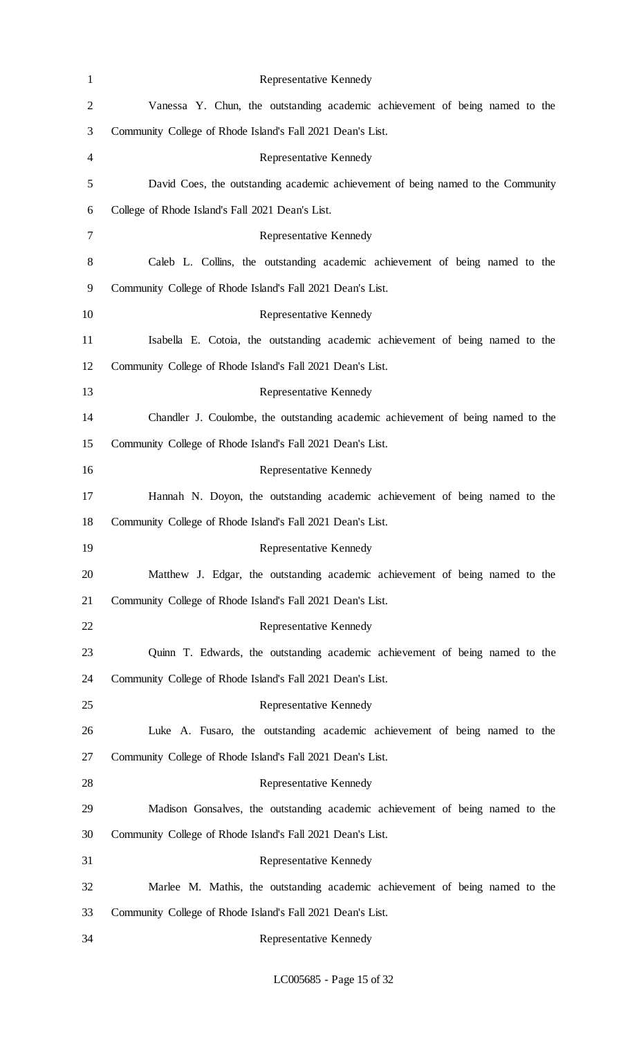| $\mathbf{1}$   | Representative Kennedy                                                           |
|----------------|----------------------------------------------------------------------------------|
| $\overline{c}$ | Vanessa Y. Chun, the outstanding academic achievement of being named to the      |
| 3              | Community College of Rhode Island's Fall 2021 Dean's List.                       |
| 4              | Representative Kennedy                                                           |
| 5              | David Coes, the outstanding academic achievement of being named to the Community |
| 6              | College of Rhode Island's Fall 2021 Dean's List.                                 |
| 7              | Representative Kennedy                                                           |
| 8              | Caleb L. Collins, the outstanding academic achievement of being named to the     |
| 9              | Community College of Rhode Island's Fall 2021 Dean's List.                       |
| 10             | Representative Kennedy                                                           |
| 11             | Isabella E. Cotoia, the outstanding academic achievement of being named to the   |
| 12             | Community College of Rhode Island's Fall 2021 Dean's List.                       |
| 13             | Representative Kennedy                                                           |
| 14             | Chandler J. Coulombe, the outstanding academic achievement of being named to the |
| 15             | Community College of Rhode Island's Fall 2021 Dean's List.                       |
| 16             | Representative Kennedy                                                           |
| 17             | Hannah N. Doyon, the outstanding academic achievement of being named to the      |
| 18             | Community College of Rhode Island's Fall 2021 Dean's List.                       |
| 19             | Representative Kennedy                                                           |
| 20             | Matthew J. Edgar, the outstanding academic achievement of being named to the     |
| 21             | Community College of Rhode Island's Fall 2021 Dean's List.                       |
| 22             | Representative Kennedy                                                           |
| 23             | Quinn T. Edwards, the outstanding academic achievement of being named to the     |
| 24             | Community College of Rhode Island's Fall 2021 Dean's List.                       |
| 25             | Representative Kennedy                                                           |
| 26             | Luke A. Fusaro, the outstanding academic achievement of being named to the       |
| 27             | Community College of Rhode Island's Fall 2021 Dean's List.                       |
| 28             | Representative Kennedy                                                           |
| 29             | Madison Gonsalves, the outstanding academic achievement of being named to the    |
| 30             | Community College of Rhode Island's Fall 2021 Dean's List.                       |
| 31             | Representative Kennedy                                                           |
| 32             | Marlee M. Mathis, the outstanding academic achievement of being named to the     |
| 33             | Community College of Rhode Island's Fall 2021 Dean's List.                       |
| 34             | Representative Kennedy                                                           |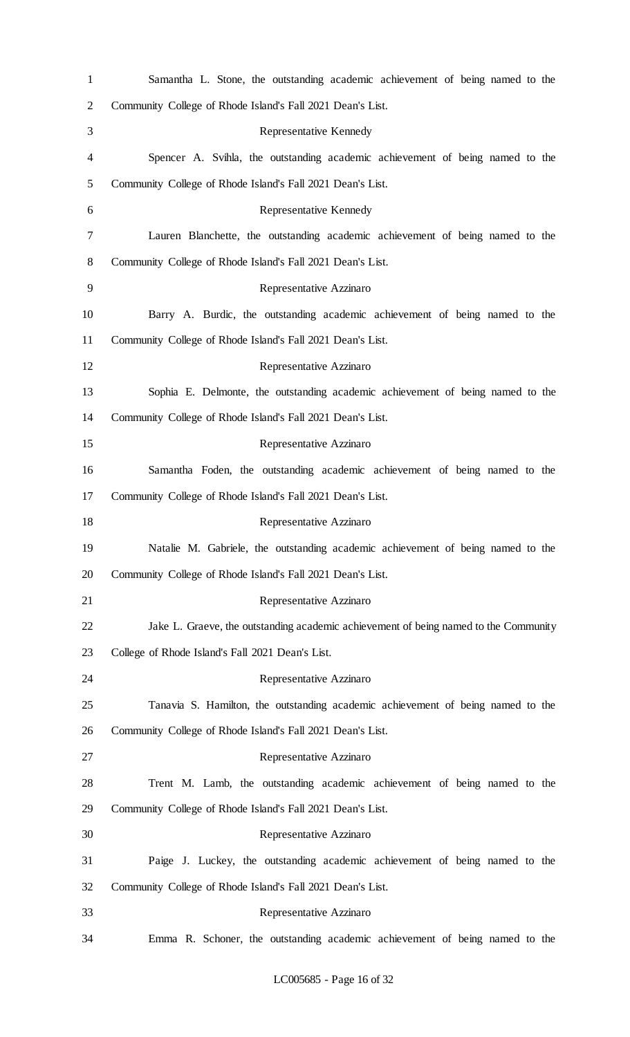| $\mathbf{1}$   | Samantha L. Stone, the outstanding academic achievement of being named to the        |
|----------------|--------------------------------------------------------------------------------------|
| $\overline{2}$ | Community College of Rhode Island's Fall 2021 Dean's List.                           |
| 3              | Representative Kennedy                                                               |
| 4              | Spencer A. Svihla, the outstanding academic achievement of being named to the        |
| 5              | Community College of Rhode Island's Fall 2021 Dean's List.                           |
| 6              | Representative Kennedy                                                               |
| 7              | Lauren Blanchette, the outstanding academic achievement of being named to the        |
| 8              | Community College of Rhode Island's Fall 2021 Dean's List.                           |
| 9              | Representative Azzinaro                                                              |
| 10             | Barry A. Burdic, the outstanding academic achievement of being named to the          |
| 11             | Community College of Rhode Island's Fall 2021 Dean's List.                           |
| 12             | Representative Azzinaro                                                              |
| 13             | Sophia E. Delmonte, the outstanding academic achievement of being named to the       |
| 14             | Community College of Rhode Island's Fall 2021 Dean's List.                           |
| 15             | Representative Azzinaro                                                              |
| 16             | Samantha Foden, the outstanding academic achievement of being named to the           |
| 17             | Community College of Rhode Island's Fall 2021 Dean's List.                           |
| 18             | Representative Azzinaro                                                              |
| 19             | Natalie M. Gabriele, the outstanding academic achievement of being named to the      |
| 20             | Community College of Rhode Island's Fall 2021 Dean's List.                           |
| 21             | Representative Azzinaro                                                              |
| 22             | Jake L. Graeve, the outstanding academic achievement of being named to the Community |
| 23             | College of Rhode Island's Fall 2021 Dean's List.                                     |
| 24             | Representative Azzinaro                                                              |
| 25             | Tanavia S. Hamilton, the outstanding academic achievement of being named to the      |
| 26             | Community College of Rhode Island's Fall 2021 Dean's List.                           |
| 27             | Representative Azzinaro                                                              |
| 28             | Trent M. Lamb, the outstanding academic achievement of being named to the            |
| 29             | Community College of Rhode Island's Fall 2021 Dean's List.                           |
| 30             | Representative Azzinaro                                                              |
| 31             | Paige J. Luckey, the outstanding academic achievement of being named to the          |
| 32             | Community College of Rhode Island's Fall 2021 Dean's List.                           |
| 33             | Representative Azzinaro                                                              |
| 34             | Emma R. Schoner, the outstanding academic achievement of being named to the          |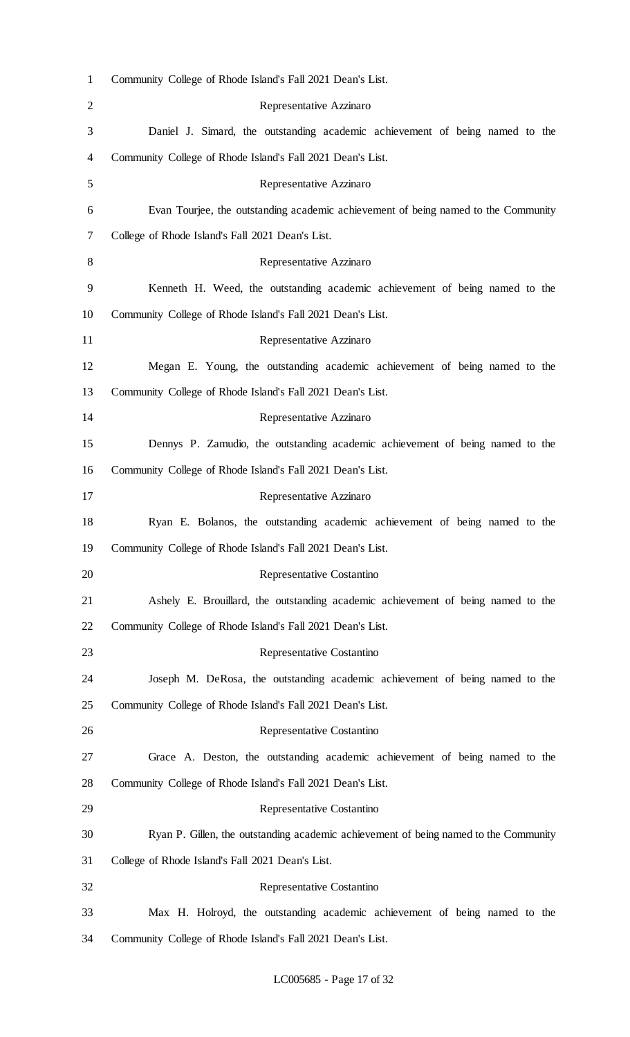| $\mathbf{1}$   | Community College of Rhode Island's Fall 2021 Dean's List.                           |
|----------------|--------------------------------------------------------------------------------------|
| $\overline{2}$ | Representative Azzinaro                                                              |
| 3              | Daniel J. Simard, the outstanding academic achievement of being named to the         |
| 4              | Community College of Rhode Island's Fall 2021 Dean's List.                           |
| 5              | Representative Azzinaro                                                              |
| 6              | Evan Tourjee, the outstanding academic achievement of being named to the Community   |
| 7              | College of Rhode Island's Fall 2021 Dean's List.                                     |
| 8              | Representative Azzinaro                                                              |
| 9              | Kenneth H. Weed, the outstanding academic achievement of being named to the          |
| 10             | Community College of Rhode Island's Fall 2021 Dean's List.                           |
| 11             | Representative Azzinaro                                                              |
| 12             | Megan E. Young, the outstanding academic achievement of being named to the           |
| 13             | Community College of Rhode Island's Fall 2021 Dean's List.                           |
| 14             | Representative Azzinaro                                                              |
| 15             | Dennys P. Zamudio, the outstanding academic achievement of being named to the        |
| 16             | Community College of Rhode Island's Fall 2021 Dean's List.                           |
| 17             | Representative Azzinaro                                                              |
| 18             | Ryan E. Bolanos, the outstanding academic achievement of being named to the          |
| 19             | Community College of Rhode Island's Fall 2021 Dean's List.                           |
| 20             | Representative Costantino                                                            |
| 21             | Ashely E. Brouillard, the outstanding academic achievement of being named to the     |
| 22             | Community College of Rhode Island's Fall 2021 Dean's List.                           |
| 23             | Representative Costantino                                                            |
| 24             | Joseph M. DeRosa, the outstanding academic achievement of being named to the         |
| 25             | Community College of Rhode Island's Fall 2021 Dean's List.                           |
| 26             | Representative Costantino                                                            |
| 27             | Grace A. Deston, the outstanding academic achievement of being named to the          |
| 28             | Community College of Rhode Island's Fall 2021 Dean's List.                           |
| 29             | Representative Costantino                                                            |
| 30             | Ryan P. Gillen, the outstanding academic achievement of being named to the Community |
| 31             | College of Rhode Island's Fall 2021 Dean's List.                                     |
| 32             | Representative Costantino                                                            |
| 33             | Max H. Holroyd, the outstanding academic achievement of being named to the           |
| 34             | Community College of Rhode Island's Fall 2021 Dean's List.                           |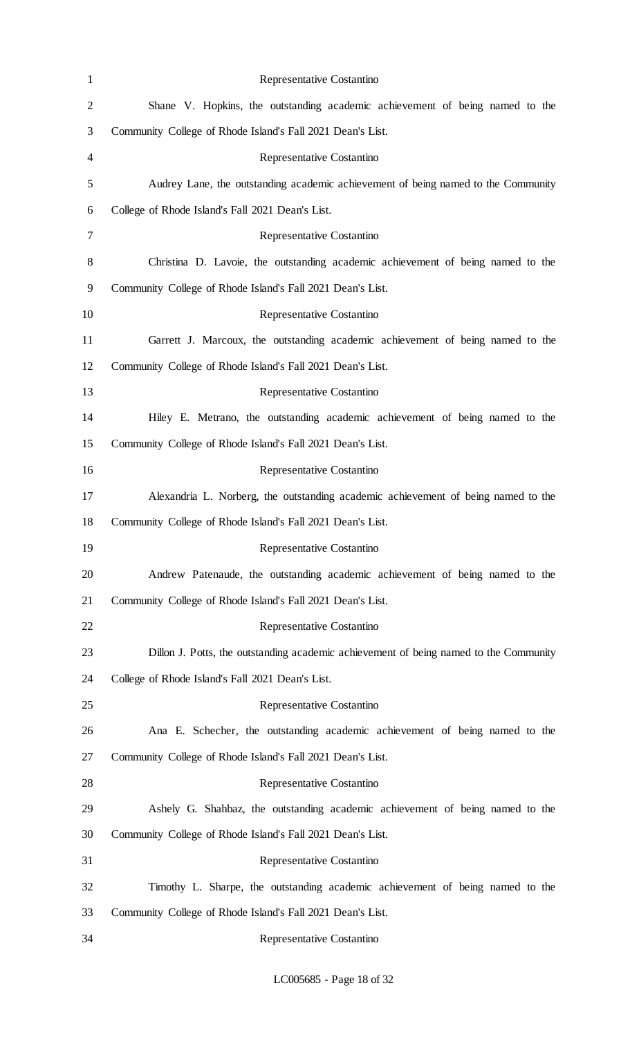| $\mathbf{1}$   | Representative Costantino                                                             |
|----------------|---------------------------------------------------------------------------------------|
| $\overline{2}$ | Shane V. Hopkins, the outstanding academic achievement of being named to the          |
| 3              | Community College of Rhode Island's Fall 2021 Dean's List.                            |
| 4              | Representative Costantino                                                             |
| 5              | Audrey Lane, the outstanding academic achievement of being named to the Community     |
| 6              | College of Rhode Island's Fall 2021 Dean's List.                                      |
| 7              | Representative Costantino                                                             |
| 8              | Christina D. Lavoie, the outstanding academic achievement of being named to the       |
| 9              | Community College of Rhode Island's Fall 2021 Dean's List.                            |
| 10             | Representative Costantino                                                             |
| 11             | Garrett J. Marcoux, the outstanding academic achievement of being named to the        |
| 12             | Community College of Rhode Island's Fall 2021 Dean's List.                            |
| 13             | Representative Costantino                                                             |
| 14             | Hiley E. Metrano, the outstanding academic achievement of being named to the          |
| 15             | Community College of Rhode Island's Fall 2021 Dean's List.                            |
| 16             | Representative Costantino                                                             |
| 17             | Alexandria L. Norberg, the outstanding academic achievement of being named to the     |
| 18             | Community College of Rhode Island's Fall 2021 Dean's List.                            |
| 19             | Representative Costantino                                                             |
| 20             | Andrew Patenaude, the outstanding academic achievement of being named to the          |
| 21             | Community College of Rhode Island's Fall 2021 Dean's List.                            |
| 22             | Representative Costantino                                                             |
| 23             | Dillon J. Potts, the outstanding academic achievement of being named to the Community |
| 24             | College of Rhode Island's Fall 2021 Dean's List.                                      |
| 25             | Representative Costantino                                                             |
| 26             | Ana E. Schecher, the outstanding academic achievement of being named to the           |
| 27             | Community College of Rhode Island's Fall 2021 Dean's List.                            |
| 28             | Representative Costantino                                                             |
| 29             | Ashely G. Shahbaz, the outstanding academic achievement of being named to the         |
| 30             | Community College of Rhode Island's Fall 2021 Dean's List.                            |
| 31             | Representative Costantino                                                             |
| 32             | Timothy L. Sharpe, the outstanding academic achievement of being named to the         |
| 33             | Community College of Rhode Island's Fall 2021 Dean's List.                            |
| 34             | Representative Costantino                                                             |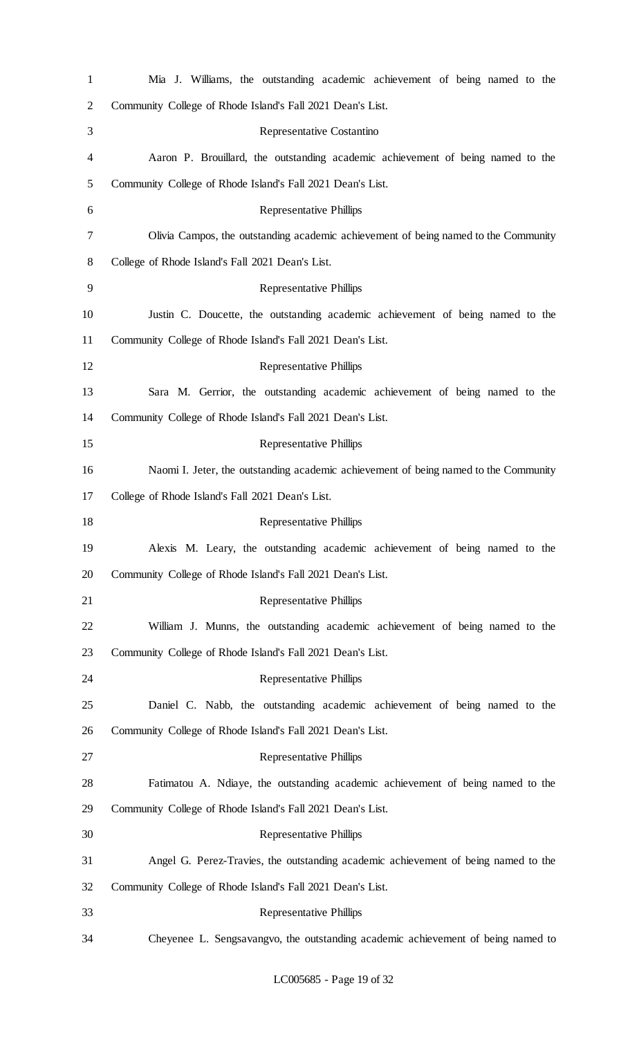| $\mathbf{1}$   | Mia J. Williams, the outstanding academic achievement of being named to the          |
|----------------|--------------------------------------------------------------------------------------|
| $\overline{2}$ | Community College of Rhode Island's Fall 2021 Dean's List.                           |
| 3              | Representative Costantino                                                            |
| 4              | Aaron P. Brouillard, the outstanding academic achievement of being named to the      |
| 5              | Community College of Rhode Island's Fall 2021 Dean's List.                           |
| 6              | <b>Representative Phillips</b>                                                       |
| 7              | Olivia Campos, the outstanding academic achievement of being named to the Community  |
| 8              | College of Rhode Island's Fall 2021 Dean's List.                                     |
| 9              | <b>Representative Phillips</b>                                                       |
| 10             | Justin C. Doucette, the outstanding academic achievement of being named to the       |
| 11             | Community College of Rhode Island's Fall 2021 Dean's List.                           |
| 12             | <b>Representative Phillips</b>                                                       |
| 13             | Sara M. Gerrior, the outstanding academic achievement of being named to the          |
| 14             | Community College of Rhode Island's Fall 2021 Dean's List.                           |
| 15             | <b>Representative Phillips</b>                                                       |
| 16             | Naomi I. Jeter, the outstanding academic achievement of being named to the Community |
| 17             | College of Rhode Island's Fall 2021 Dean's List.                                     |
| 18             | <b>Representative Phillips</b>                                                       |
| 19             | Alexis M. Leary, the outstanding academic achievement of being named to the          |
| 20             | Community College of Rhode Island's Fall 2021 Dean's List.                           |
| 21             | <b>Representative Phillips</b>                                                       |
| 22             | William J. Munns, the outstanding academic achievement of being named to the         |
| 23             | Community College of Rhode Island's Fall 2021 Dean's List.                           |
| 24             | <b>Representative Phillips</b>                                                       |
| 25             | Daniel C. Nabb, the outstanding academic achievement of being named to the           |
| 26             | Community College of Rhode Island's Fall 2021 Dean's List.                           |
| 27             | <b>Representative Phillips</b>                                                       |
| 28             | Fatimatou A. Ndiaye, the outstanding academic achievement of being named to the      |
| 29             | Community College of Rhode Island's Fall 2021 Dean's List.                           |
| 30             | <b>Representative Phillips</b>                                                       |
| 31             | Angel G. Perez-Travies, the outstanding academic achievement of being named to the   |
| 32             | Community College of Rhode Island's Fall 2021 Dean's List.                           |
| 33             | <b>Representative Phillips</b>                                                       |
| 34             | Cheyenee L. Sengsavangvo, the outstanding academic achievement of being named to     |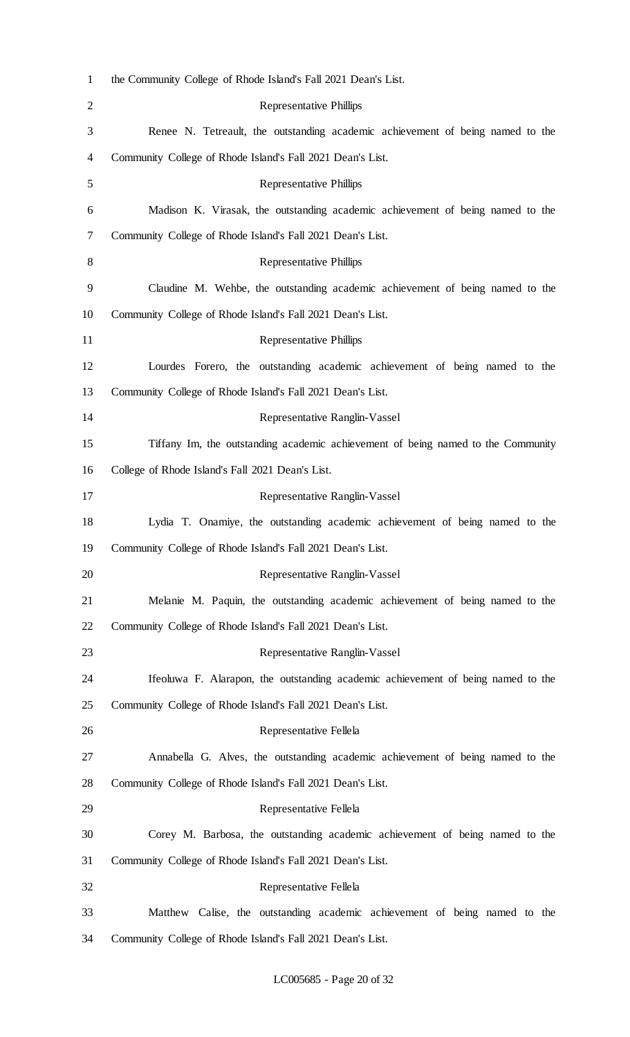| $\mathbf{1}$   | the Community College of Rhode Island's Fall 2021 Dean's List.                    |
|----------------|-----------------------------------------------------------------------------------|
| $\overline{2}$ | <b>Representative Phillips</b>                                                    |
| 3              | Renee N. Tetreault, the outstanding academic achievement of being named to the    |
| 4              | Community College of Rhode Island's Fall 2021 Dean's List.                        |
| 5              | <b>Representative Phillips</b>                                                    |
| 6              | Madison K. Virasak, the outstanding academic achievement of being named to the    |
| 7              | Community College of Rhode Island's Fall 2021 Dean's List.                        |
| 8              | <b>Representative Phillips</b>                                                    |
| 9              | Claudine M. Wehbe, the outstanding academic achievement of being named to the     |
| 10             | Community College of Rhode Island's Fall 2021 Dean's List.                        |
| 11             | <b>Representative Phillips</b>                                                    |
| 12             | Lourdes Forero, the outstanding academic achievement of being named to the        |
| 13             | Community College of Rhode Island's Fall 2021 Dean's List.                        |
| 14             | Representative Ranglin-Vassel                                                     |
| 15             | Tiffany Im, the outstanding academic achievement of being named to the Community  |
| 16             | College of Rhode Island's Fall 2021 Dean's List.                                  |
| 17             | Representative Ranglin-Vassel                                                     |
| 18             | Lydia T. Onamiye, the outstanding academic achievement of being named to the      |
| 19             | Community College of Rhode Island's Fall 2021 Dean's List.                        |
| 20             | Representative Ranglin-Vassel                                                     |
| 21             | Melanie M. Paquin, the outstanding academic achievement of being named to the     |
| 22             | Community College of Rhode Island's Fall 2021 Dean's List.                        |
| 23             | Representative Ranglin-Vassel                                                     |
| 24             | If eoluwa F. Alarapon, the outstanding academic achievement of being named to the |
| 25             | Community College of Rhode Island's Fall 2021 Dean's List.                        |
| 26             | Representative Fellela                                                            |
| 27             | Annabella G. Alves, the outstanding academic achievement of being named to the    |
| 28             | Community College of Rhode Island's Fall 2021 Dean's List.                        |
| 29             | Representative Fellela                                                            |
| 30             | Corey M. Barbosa, the outstanding academic achievement of being named to the      |
| 31             | Community College of Rhode Island's Fall 2021 Dean's List.                        |
| 32             | Representative Fellela                                                            |
| 33             | Matthew Calise, the outstanding academic achievement of being named to the        |
| 34             | Community College of Rhode Island's Fall 2021 Dean's List.                        |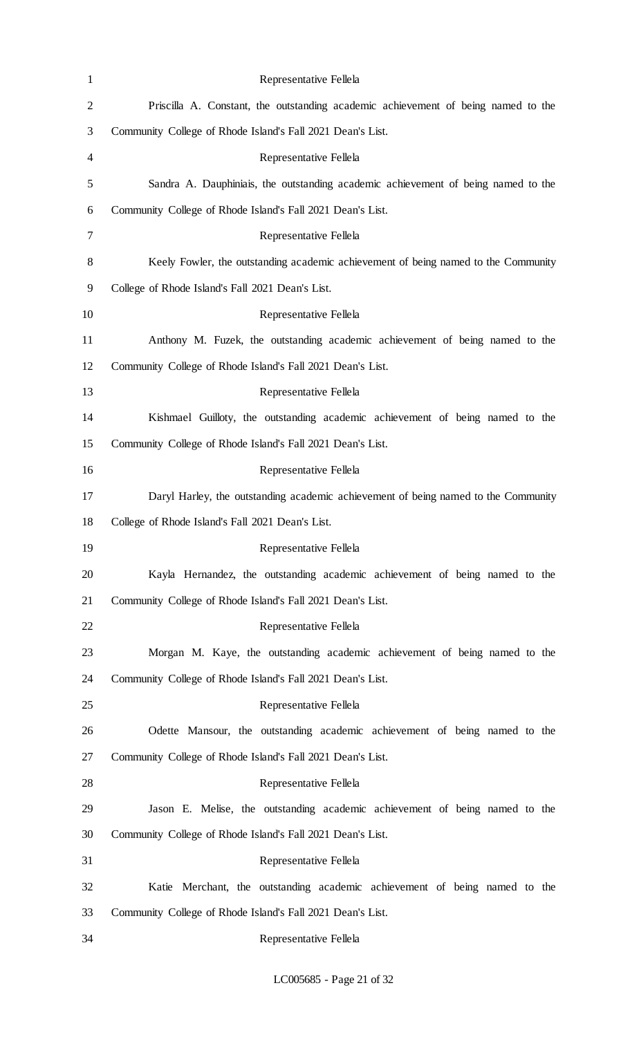| $\mathbf{1}$   | Representative Fellela                                                             |
|----------------|------------------------------------------------------------------------------------|
| $\overline{2}$ | Priscilla A. Constant, the outstanding academic achievement of being named to the  |
| 3              | Community College of Rhode Island's Fall 2021 Dean's List.                         |
| 4              | Representative Fellela                                                             |
| 5              | Sandra A. Dauphiniais, the outstanding academic achievement of being named to the  |
| 6              | Community College of Rhode Island's Fall 2021 Dean's List.                         |
| 7              | Representative Fellela                                                             |
| 8              | Keely Fowler, the outstanding academic achievement of being named to the Community |
| 9              | College of Rhode Island's Fall 2021 Dean's List.                                   |
| 10             | Representative Fellela                                                             |
| 11             | Anthony M. Fuzek, the outstanding academic achievement of being named to the       |
| 12             | Community College of Rhode Island's Fall 2021 Dean's List.                         |
| 13             | Representative Fellela                                                             |
| 14             | Kishmael Guilloty, the outstanding academic achievement of being named to the      |
| 15             | Community College of Rhode Island's Fall 2021 Dean's List.                         |
| 16             | Representative Fellela                                                             |
| 17             | Daryl Harley, the outstanding academic achievement of being named to the Community |
| 18             | College of Rhode Island's Fall 2021 Dean's List.                                   |
| 19             | Representative Fellela                                                             |
| 20             | Kayla Hernandez, the outstanding academic achievement of being named to the        |
| 21             | Community College of Rhode Island's Fall 2021 Dean's List.                         |
| 22             | Representative Fellela                                                             |
| 23             | Morgan M. Kaye, the outstanding academic achievement of being named to the         |
| 24             | Community College of Rhode Island's Fall 2021 Dean's List.                         |
| 25             | Representative Fellela                                                             |
| 26             | Odette Mansour, the outstanding academic achievement of being named to the         |
| 27             | Community College of Rhode Island's Fall 2021 Dean's List.                         |
| 28             | Representative Fellela                                                             |
| 29             | Jason E. Melise, the outstanding academic achievement of being named to the        |
| 30             | Community College of Rhode Island's Fall 2021 Dean's List.                         |
| 31             | Representative Fellela                                                             |
| 32             | Katie Merchant, the outstanding academic achievement of being named to the         |
| 33             | Community College of Rhode Island's Fall 2021 Dean's List.                         |
| 34             | Representative Fellela                                                             |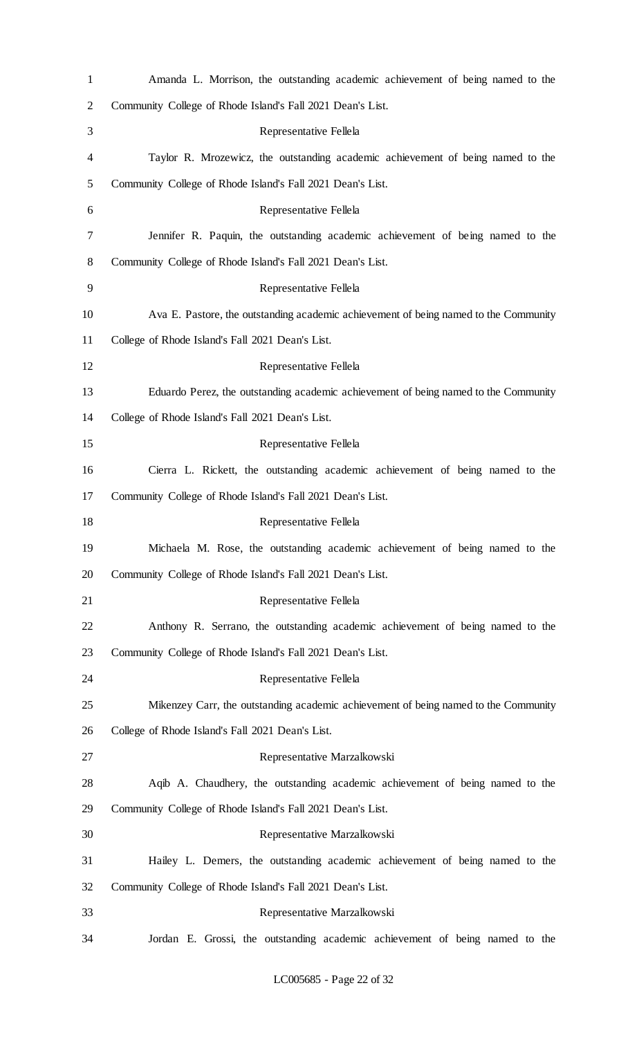| $\mathbf{1}$   | Amanda L. Morrison, the outstanding academic achievement of being named to the       |
|----------------|--------------------------------------------------------------------------------------|
| $\overline{c}$ | Community College of Rhode Island's Fall 2021 Dean's List.                           |
| 3              | Representative Fellela                                                               |
| 4              | Taylor R. Mrozewicz, the outstanding academic achievement of being named to the      |
| 5              | Community College of Rhode Island's Fall 2021 Dean's List.                           |
| 6              | Representative Fellela                                                               |
| 7              | Jennifer R. Paquin, the outstanding academic achievement of being named to the       |
| 8              | Community College of Rhode Island's Fall 2021 Dean's List.                           |
| 9              | Representative Fellela                                                               |
| 10             | Ava E. Pastore, the outstanding academic achievement of being named to the Community |
| 11             | College of Rhode Island's Fall 2021 Dean's List.                                     |
| 12             | Representative Fellela                                                               |
| 13             | Eduardo Perez, the outstanding academic achievement of being named to the Community  |
| 14             | College of Rhode Island's Fall 2021 Dean's List.                                     |
| 15             | Representative Fellela                                                               |
| 16             | Cierra L. Rickett, the outstanding academic achievement of being named to the        |
| 17             | Community College of Rhode Island's Fall 2021 Dean's List.                           |
| 18             | Representative Fellela                                                               |
| 19             | Michaela M. Rose, the outstanding academic achievement of being named to the         |
| 20             | Community College of Rhode Island's Fall 2021 Dean's List.                           |
| 21             | Representative Fellela                                                               |
| 22             | Anthony R. Serrano, the outstanding academic achievement of being named to the       |
| 23             | Community College of Rhode Island's Fall 2021 Dean's List.                           |
| 24             | Representative Fellela                                                               |
| 25             | Mikenzey Carr, the outstanding academic achievement of being named to the Community  |
| 26             | College of Rhode Island's Fall 2021 Dean's List.                                     |
| 27             | Representative Marzalkowski                                                          |
| 28             | Aqib A. Chaudhery, the outstanding academic achievement of being named to the        |
| 29             | Community College of Rhode Island's Fall 2021 Dean's List.                           |
| 30             | Representative Marzalkowski                                                          |
| 31             | Hailey L. Demers, the outstanding academic achievement of being named to the         |
| 32             | Community College of Rhode Island's Fall 2021 Dean's List.                           |
| 33             | Representative Marzalkowski                                                          |
| 34             | Jordan E. Grossi, the outstanding academic achievement of being named to the         |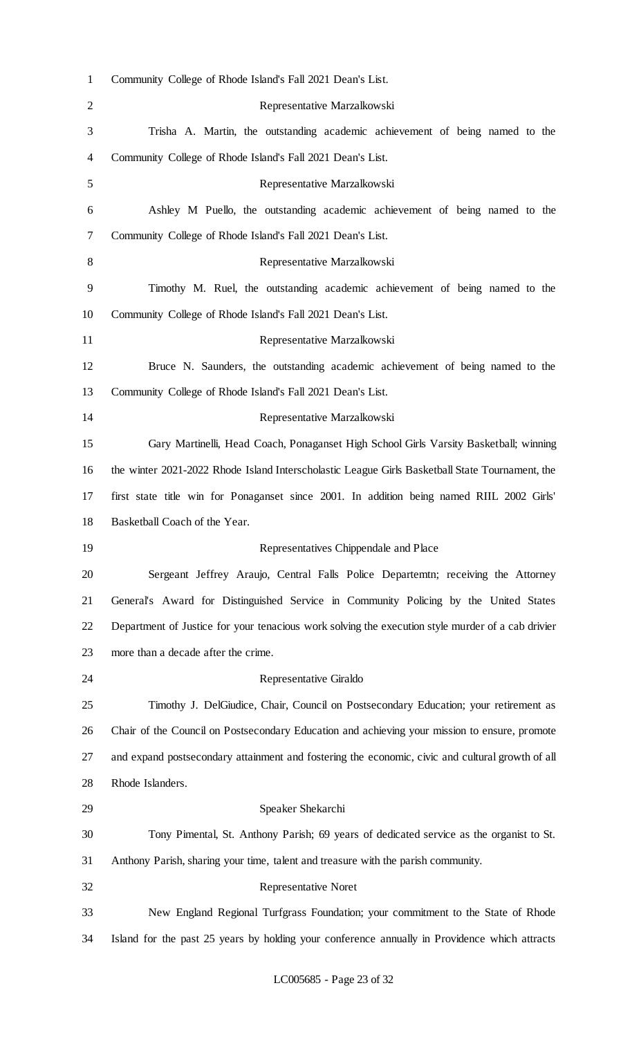| $\mathbf{1}$   | Community College of Rhode Island's Fall 2021 Dean's List.                                        |
|----------------|---------------------------------------------------------------------------------------------------|
| $\overline{2}$ | Representative Marzalkowski                                                                       |
| 3              | Trisha A. Martin, the outstanding academic achievement of being named to the                      |
| 4              | Community College of Rhode Island's Fall 2021 Dean's List.                                        |
| 5              | Representative Marzalkowski                                                                       |
| 6              | Ashley M Puello, the outstanding academic achievement of being named to the                       |
| 7              | Community College of Rhode Island's Fall 2021 Dean's List.                                        |
| 8              | Representative Marzalkowski                                                                       |
| 9              | Timothy M. Ruel, the outstanding academic achievement of being named to the                       |
| 10             | Community College of Rhode Island's Fall 2021 Dean's List.                                        |
| 11             | Representative Marzalkowski                                                                       |
| 12             | Bruce N. Saunders, the outstanding academic achievement of being named to the                     |
| 13             | Community College of Rhode Island's Fall 2021 Dean's List.                                        |
| 14             | Representative Marzalkowski                                                                       |
| 15             | Gary Martinelli, Head Coach, Ponaganset High School Girls Varsity Basketball; winning             |
| 16             | the winter 2021-2022 Rhode Island Interscholastic League Girls Basketball State Tournament, the   |
| 17             | first state title win for Ponaganset since 2001. In addition being named RIIL 2002 Girls'         |
| 18             | Basketball Coach of the Year.                                                                     |
| 19             | Representatives Chippendale and Place                                                             |
| 20             | Sergeant Jeffrey Araujo, Central Falls Police Departemtn; receiving the Attorney                  |
| 21             | General's Award for Distinguished Service in Community Policing by the United States              |
| 22             | Department of Justice for your tenacious work solving the execution style murder of a cab drivier |
| 23             | more than a decade after the crime.                                                               |
| 24             | Representative Giraldo                                                                            |
| 25             | Timothy J. DelGiudice, Chair, Council on Postsecondary Education; your retirement as              |
| 26             | Chair of the Council on Postsecondary Education and achieving your mission to ensure, promote     |
| 27             | and expand postsecondary attainment and fostering the economic, civic and cultural growth of all  |
| 28             | Rhode Islanders.                                                                                  |
| 29             | Speaker Shekarchi                                                                                 |
| 30             | Tony Pimental, St. Anthony Parish; 69 years of dedicated service as the organist to St.           |
| 31             | Anthony Parish, sharing your time, talent and treasure with the parish community.                 |
| 32             | <b>Representative Noret</b>                                                                       |
| 33             | New England Regional Turfgrass Foundation; your commitment to the State of Rhode                  |
|                |                                                                                                   |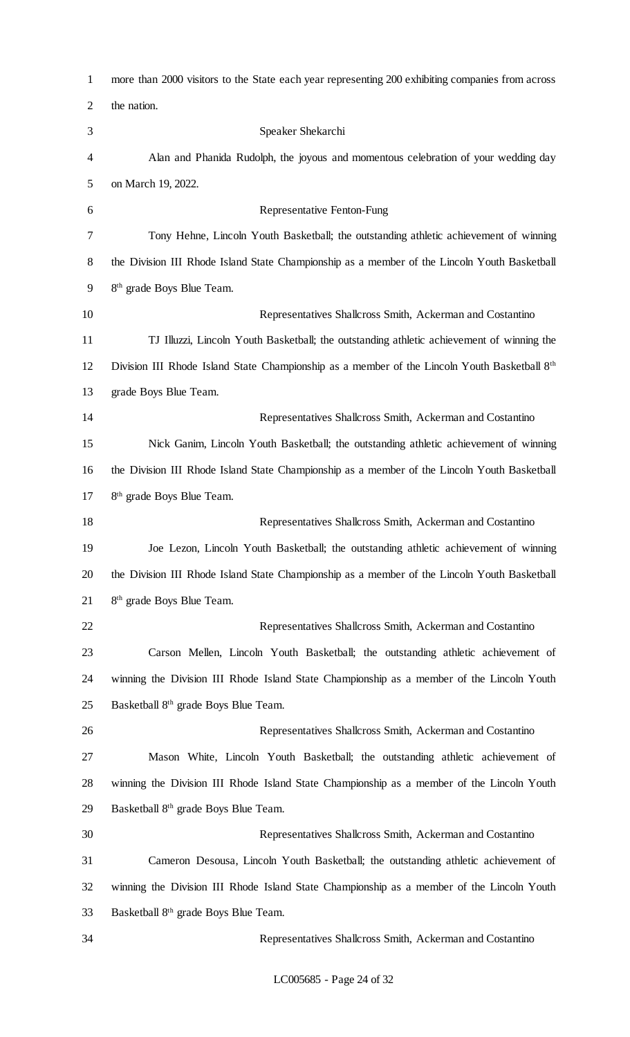| $\mathbf{1}$ | more than 2000 visitors to the State each year representing 200 exhibiting companies from across         |
|--------------|----------------------------------------------------------------------------------------------------------|
| 2            | the nation.                                                                                              |
| 3            | Speaker Shekarchi                                                                                        |
| 4            | Alan and Phanida Rudolph, the joyous and momentous celebration of your wedding day                       |
| 5            | on March 19, 2022.                                                                                       |
| 6            | <b>Representative Fenton-Fung</b>                                                                        |
| 7            | Tony Hehne, Lincoln Youth Basketball; the outstanding athletic achievement of winning                    |
| 8            | the Division III Rhode Island State Championship as a member of the Lincoln Youth Basketball             |
| 9            | 8 <sup>th</sup> grade Boys Blue Team.                                                                    |
| 10           | Representatives Shallcross Smith, Ackerman and Costantino                                                |
| 11           | TJ Illuzzi, Lincoln Youth Basketball; the outstanding athletic achievement of winning the                |
| 12           | Division III Rhode Island State Championship as a member of the Lincoln Youth Basketball 8 <sup>th</sup> |
| 13           | grade Boys Blue Team.                                                                                    |
| 14           | Representatives Shallcross Smith, Ackerman and Costantino                                                |
| 15           | Nick Ganim, Lincoln Youth Basketball; the outstanding athletic achievement of winning                    |
| 16           | the Division III Rhode Island State Championship as a member of the Lincoln Youth Basketball             |
| 17           | 8 <sup>th</sup> grade Boys Blue Team.                                                                    |
| 18           | Representatives Shallcross Smith, Ackerman and Costantino                                                |
| 19           | Joe Lezon, Lincoln Youth Basketball; the outstanding athletic achievement of winning                     |
| 20           | the Division III Rhode Island State Championship as a member of the Lincoln Youth Basketball             |
| 21           | 8 <sup>th</sup> grade Boys Blue Team.                                                                    |
| 22           | Representatives Shallcross Smith, Ackerman and Costantino                                                |
| 23           | Carson Mellen, Lincoln Youth Basketball; the outstanding athletic achievement of                         |
| 24           | winning the Division III Rhode Island State Championship as a member of the Lincoln Youth                |
| 25           | Basketball 8 <sup>th</sup> grade Boys Blue Team.                                                         |
| 26           | Representatives Shallcross Smith, Ackerman and Costantino                                                |
| 27           | Mason White, Lincoln Youth Basketball; the outstanding athletic achievement of                           |
| 28           | winning the Division III Rhode Island State Championship as a member of the Lincoln Youth                |
| 29           | Basketball 8 <sup>th</sup> grade Boys Blue Team.                                                         |
| 30           | Representatives Shallcross Smith, Ackerman and Costantino                                                |
| 31           | Cameron Desousa, Lincoln Youth Basketball; the outstanding athletic achievement of                       |
| 32           | winning the Division III Rhode Island State Championship as a member of the Lincoln Youth                |
| 33           | Basketball 8 <sup>th</sup> grade Boys Blue Team.                                                         |
| 34           | Representatives Shallcross Smith, Ackerman and Costantino                                                |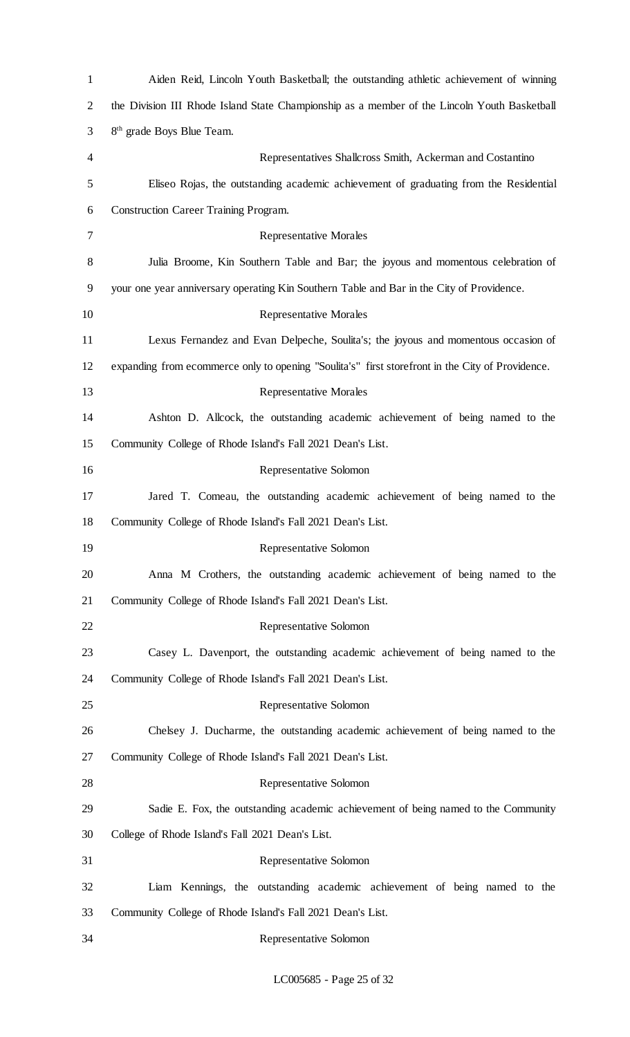| $\mathbf{1}$ | Aiden Reid, Lincoln Youth Basketball; the outstanding athletic achievement of winning            |
|--------------|--------------------------------------------------------------------------------------------------|
| 2            | the Division III Rhode Island State Championship as a member of the Lincoln Youth Basketball     |
| 3            | 8 <sup>th</sup> grade Boys Blue Team.                                                            |
| 4            | Representatives Shallcross Smith, Ackerman and Costantino                                        |
| 5            | Eliseo Rojas, the outstanding academic achievement of graduating from the Residential            |
| 6            | <b>Construction Career Training Program.</b>                                                     |
| 7            | <b>Representative Morales</b>                                                                    |
| 8            | Julia Broome, Kin Southern Table and Bar; the joyous and momentous celebration of                |
| 9            | your one year anniversary operating Kin Southern Table and Bar in the City of Providence.        |
| 10           | <b>Representative Morales</b>                                                                    |
| 11           | Lexus Fernandez and Evan Delpeche, Soulita's; the joyous and momentous occasion of               |
| 12           | expanding from ecommerce only to opening "Soulita's" first storefront in the City of Providence. |
| 13           | <b>Representative Morales</b>                                                                    |
| 14           | Ashton D. Allcock, the outstanding academic achievement of being named to the                    |
| 15           | Community College of Rhode Island's Fall 2021 Dean's List.                                       |
| 16           | Representative Solomon                                                                           |
| 17           | Jared T. Comeau, the outstanding academic achievement of being named to the                      |
| 18           | Community College of Rhode Island's Fall 2021 Dean's List.                                       |
| 19           | Representative Solomon                                                                           |
| 20           | Anna M Crothers, the outstanding academic achievement of being named to the                      |
| 21           | Community College of Rhode Island's Fall 2021 Dean's List.                                       |
| 22           | Representative Solomon                                                                           |
| 23           | Casey L. Davenport, the outstanding academic achievement of being named to the                   |
| 24           | Community College of Rhode Island's Fall 2021 Dean's List.                                       |
| 25           | Representative Solomon                                                                           |
| 26           | Chelsey J. Ducharme, the outstanding academic achievement of being named to the                  |
| 27           | Community College of Rhode Island's Fall 2021 Dean's List.                                       |
| 28           | Representative Solomon                                                                           |
| 29           | Sadie E. Fox, the outstanding academic achievement of being named to the Community               |
| 30           | College of Rhode Island's Fall 2021 Dean's List.                                                 |
| 31           | Representative Solomon                                                                           |
| 32           | Liam Kennings, the outstanding academic achievement of being named to the                        |
| 33           | Community College of Rhode Island's Fall 2021 Dean's List.                                       |
| 34           | Representative Solomon                                                                           |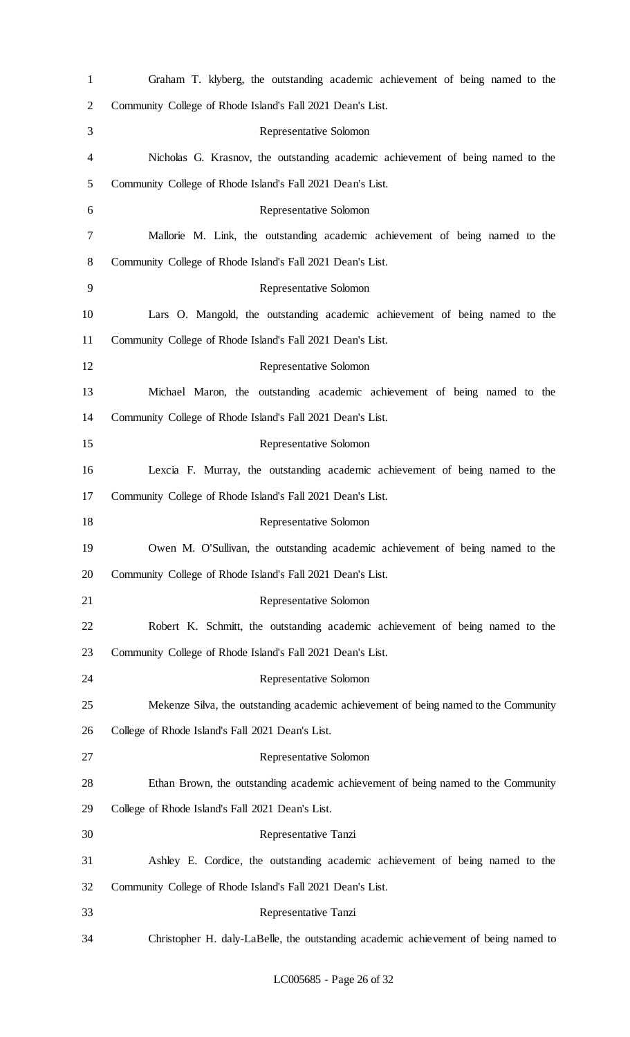| $\mathbf{1}$   | Graham T. klyberg, the outstanding academic achievement of being named to the       |
|----------------|-------------------------------------------------------------------------------------|
| $\overline{2}$ | Community College of Rhode Island's Fall 2021 Dean's List.                          |
| 3              | Representative Solomon                                                              |
| 4              | Nicholas G. Krasnov, the outstanding academic achievement of being named to the     |
| 5              | Community College of Rhode Island's Fall 2021 Dean's List.                          |
| 6              | Representative Solomon                                                              |
| 7              | Mallorie M. Link, the outstanding academic achievement of being named to the        |
| 8              | Community College of Rhode Island's Fall 2021 Dean's List.                          |
| 9              | Representative Solomon                                                              |
| 10             | Lars O. Mangold, the outstanding academic achievement of being named to the         |
| 11             | Community College of Rhode Island's Fall 2021 Dean's List.                          |
| 12             | Representative Solomon                                                              |
| 13             | Michael Maron, the outstanding academic achievement of being named to the           |
| 14             | Community College of Rhode Island's Fall 2021 Dean's List.                          |
| 15             | Representative Solomon                                                              |
| 16             | Lexcia F. Murray, the outstanding academic achievement of being named to the        |
| 17             | Community College of Rhode Island's Fall 2021 Dean's List.                          |
| 18             | Representative Solomon                                                              |
| 19             | Owen M. O'Sullivan, the outstanding academic achievement of being named to the      |
| 20             | Community College of Rhode Island's Fall 2021 Dean's List.                          |
| 21             | Representative Solomon                                                              |
| 22             | Robert K. Schmitt, the outstanding academic achievement of being named to the       |
| 23             | Community College of Rhode Island's Fall 2021 Dean's List.                          |
| 24             | Representative Solomon                                                              |
| 25             | Mekenze Silva, the outstanding academic achievement of being named to the Community |
| 26             | College of Rhode Island's Fall 2021 Dean's List.                                    |
| 27             | Representative Solomon                                                              |
| 28             | Ethan Brown, the outstanding academic achievement of being named to the Community   |
| 29             | College of Rhode Island's Fall 2021 Dean's List.                                    |
| 30             | Representative Tanzi                                                                |
| 31             | Ashley E. Cordice, the outstanding academic achievement of being named to the       |
| 32             | Community College of Rhode Island's Fall 2021 Dean's List.                          |
| 33             | Representative Tanzi                                                                |
| 34             | Christopher H. daly-LaBelle, the outstanding academic achievement of being named to |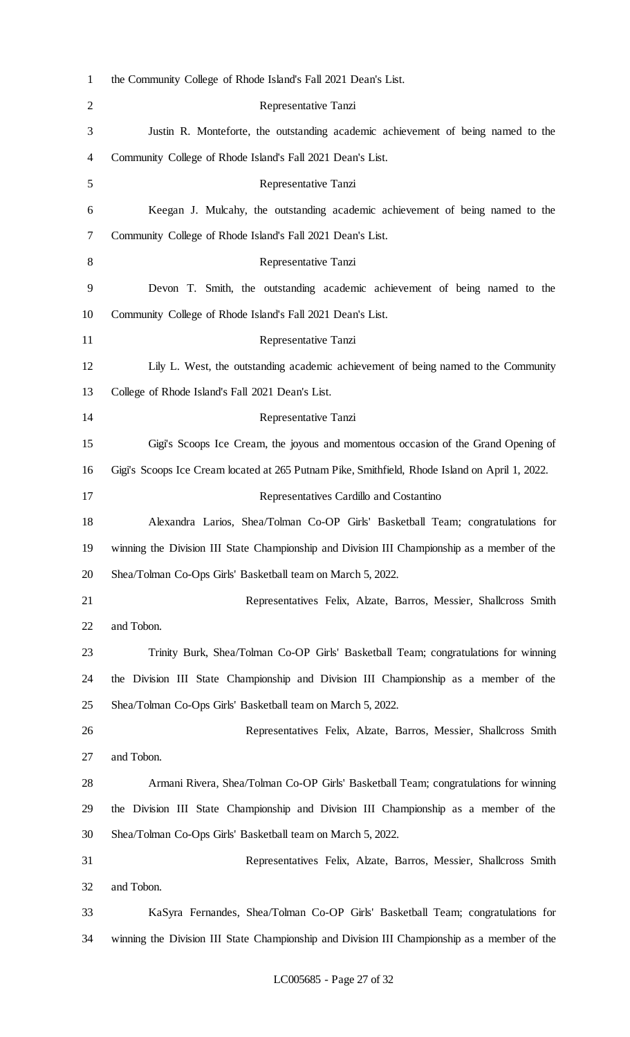| $\mathbf{1}$   | the Community College of Rhode Island's Fall 2021 Dean's List.                                 |
|----------------|------------------------------------------------------------------------------------------------|
| $\overline{2}$ | Representative Tanzi                                                                           |
| 3              | Justin R. Monteforte, the outstanding academic achievement of being named to the               |
| 4              | Community College of Rhode Island's Fall 2021 Dean's List.                                     |
| 5              | Representative Tanzi                                                                           |
| 6              | Keegan J. Mulcahy, the outstanding academic achievement of being named to the                  |
| 7              | Community College of Rhode Island's Fall 2021 Dean's List.                                     |
| 8              | Representative Tanzi                                                                           |
| 9              | Devon T. Smith, the outstanding academic achievement of being named to the                     |
| 10             | Community College of Rhode Island's Fall 2021 Dean's List.                                     |
| 11             | Representative Tanzi                                                                           |
| 12             | Lily L. West, the outstanding academic achievement of being named to the Community             |
| 13             | College of Rhode Island's Fall 2021 Dean's List.                                               |
| 14             | Representative Tanzi                                                                           |
| 15             | Gigi's Scoops Ice Cream, the joyous and momentous occasion of the Grand Opening of             |
| 16             | Gigi's Scoops Ice Cream located at 265 Putnam Pike, Smithfield, Rhode Island on April 1, 2022. |
| 17             | Representatives Cardillo and Costantino                                                        |
| 18             | Alexandra Larios, Shea/Tolman Co-OP Girls' Basketball Team; congratulations for                |
| 19             | winning the Division III State Championship and Division III Championship as a member of the   |
| 20             | Shea/Tolman Co-Ops Girls' Basketball team on March 5, 2022.                                    |
| 21             | Representatives Felix, Alzate, Barros, Messier, Shallcross Smith                               |
| 22             | and Tobon.                                                                                     |
| 23             | Trinity Burk, Shea/Tolman Co-OP Girls' Basketball Team; congratulations for winning            |
| 24             | the Division III State Championship and Division III Championship as a member of the           |
| 25             | Shea/Tolman Co-Ops Girls' Basketball team on March 5, 2022.                                    |
| 26             | Representatives Felix, Alzate, Barros, Messier, Shallcross Smith                               |
| 27             | and Tobon.                                                                                     |
| 28             | Armani Rivera, Shea/Tolman Co-OP Girls' Basketball Team; congratulations for winning           |
| 29             | the Division III State Championship and Division III Championship as a member of the           |
| 30             | Shea/Tolman Co-Ops Girls' Basketball team on March 5, 2022.                                    |
| 31             | Representatives Felix, Alzate, Barros, Messier, Shallcross Smith                               |
| 32             | and Tobon.                                                                                     |
| 33             | KaSyra Fernandes, Shea/Tolman Co-OP Girls' Basketball Team; congratulations for                |
| 34             | winning the Division III State Championship and Division III Championship as a member of the   |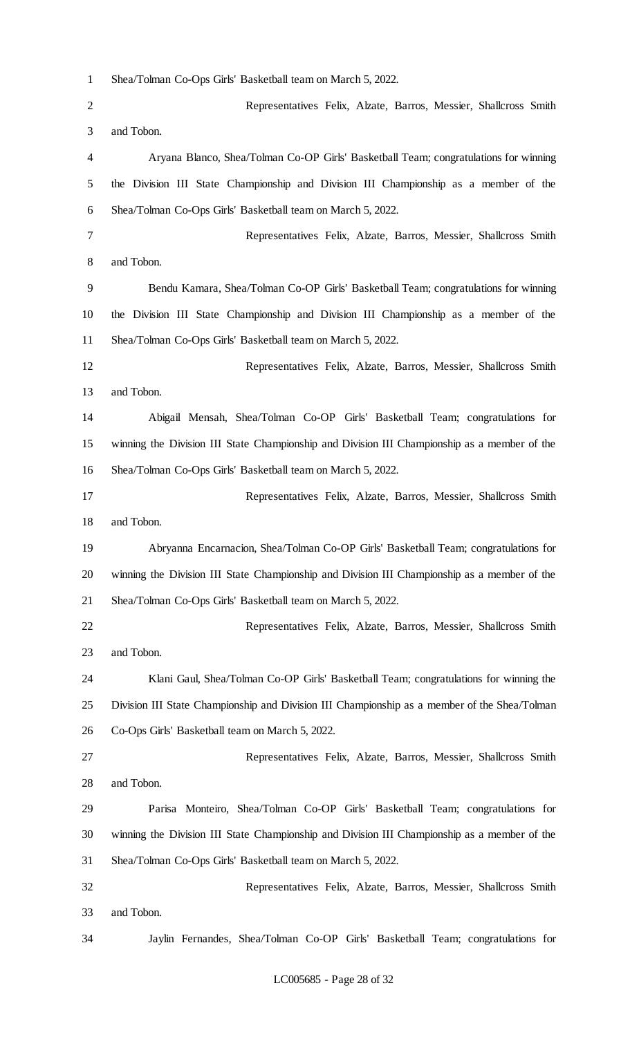Shea/Tolman Co-Ops Girls' Basketball team on March 5, 2022.

 Representatives Felix, Alzate, Barros, Messier, Shallcross Smith and Tobon. Aryana Blanco, Shea/Tolman Co-OP Girls' Basketball Team; congratulations for winning the Division III State Championship and Division III Championship as a member of the Shea/Tolman Co-Ops Girls' Basketball team on March 5, 2022. Representatives Felix, Alzate, Barros, Messier, Shallcross Smith and Tobon. Bendu Kamara, Shea/Tolman Co-OP Girls' Basketball Team; congratulations for winning the Division III State Championship and Division III Championship as a member of the Shea/Tolman Co-Ops Girls' Basketball team on March 5, 2022. Representatives Felix, Alzate, Barros, Messier, Shallcross Smith and Tobon. Abigail Mensah, Shea/Tolman Co-OP Girls' Basketball Team; congratulations for winning the Division III State Championship and Division III Championship as a member of the Shea/Tolman Co-Ops Girls' Basketball team on March 5, 2022. Representatives Felix, Alzate, Barros, Messier, Shallcross Smith and Tobon. Abryanna Encarnacion, Shea/Tolman Co-OP Girls' Basketball Team; congratulations for winning the Division III State Championship and Division III Championship as a member of the Shea/Tolman Co-Ops Girls' Basketball team on March 5, 2022. Representatives Felix, Alzate, Barros, Messier, Shallcross Smith and Tobon. Klani Gaul, Shea/Tolman Co-OP Girls' Basketball Team; congratulations for winning the Division III State Championship and Division III Championship as a member of the Shea/Tolman Co-Ops Girls' Basketball team on March 5, 2022. Representatives Felix, Alzate, Barros, Messier, Shallcross Smith and Tobon. Parisa Monteiro, Shea/Tolman Co-OP Girls' Basketball Team; congratulations for winning the Division III State Championship and Division III Championship as a member of the Shea/Tolman Co-Ops Girls' Basketball team on March 5, 2022. Representatives Felix, Alzate, Barros, Messier, Shallcross Smith and Tobon. Jaylin Fernandes, Shea/Tolman Co-OP Girls' Basketball Team; congratulations for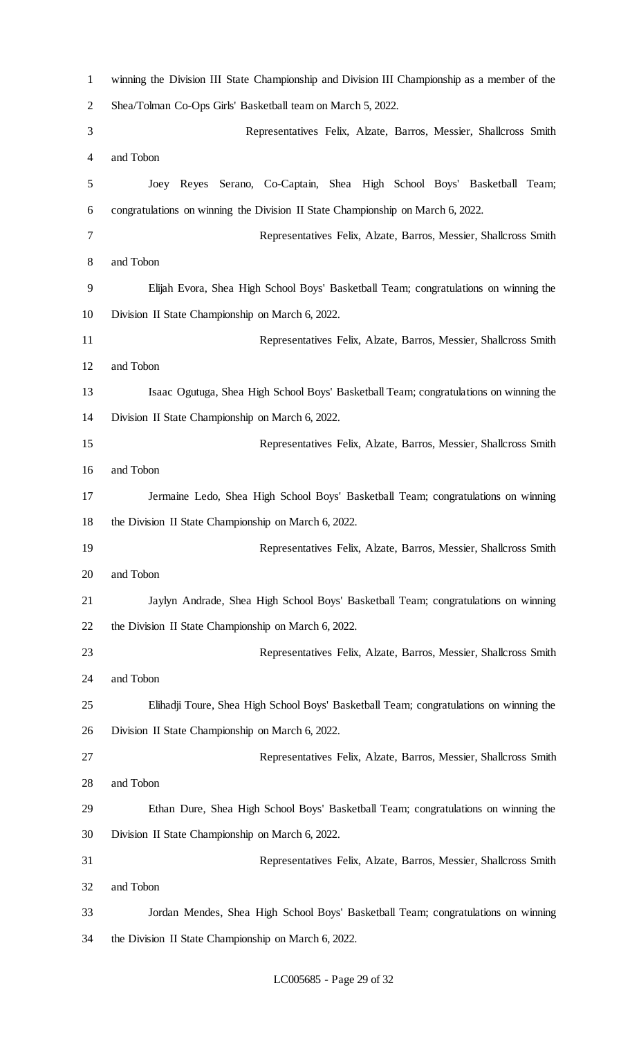| $\mathbf{1}$ | winning the Division III State Championship and Division III Championship as a member of the |
|--------------|----------------------------------------------------------------------------------------------|
| 2            | Shea/Tolman Co-Ops Girls' Basketball team on March 5, 2022.                                  |
| 3            | Representatives Felix, Alzate, Barros, Messier, Shallcross Smith                             |
| 4            | and Tobon                                                                                    |
| 5            | Joey Reyes Serano, Co-Captain, Shea High School Boys' Basketball Team;                       |
| 6            | congratulations on winning the Division II State Championship on March 6, 2022.              |
| 7            | Representatives Felix, Alzate, Barros, Messier, Shallcross Smith                             |
| 8            | and Tobon                                                                                    |
| 9            | Elijah Evora, Shea High School Boys' Basketball Team; congratulations on winning the         |
| 10           | Division II State Championship on March 6, 2022.                                             |
| 11           | Representatives Felix, Alzate, Barros, Messier, Shallcross Smith                             |
| 12           | and Tobon                                                                                    |
| 13           | Isaac Ogutuga, Shea High School Boys' Basketball Team; congratulations on winning the        |
| 14           | Division II State Championship on March 6, 2022.                                             |
| 15           | Representatives Felix, Alzate, Barros, Messier, Shallcross Smith                             |
| 16           | and Tobon                                                                                    |
| 17           | Jermaine Ledo, Shea High School Boys' Basketball Team; congratulations on winning            |
| 18           | the Division II State Championship on March 6, 2022.                                         |
| 19           | Representatives Felix, Alzate, Barros, Messier, Shallcross Smith                             |
| 20           | and Tobon                                                                                    |
| 21           | Jaylyn Andrade, Shea High School Boys' Basketball Team; congratulations on winning           |
| 22           | the Division II State Championship on March 6, 2022.                                         |
| 23           | Representatives Felix, Alzate, Barros, Messier, Shallcross Smith                             |
| 24           | and Tobon                                                                                    |
| 25           | Elihadji Toure, Shea High School Boys' Basketball Team; congratulations on winning the       |
| 26           | Division II State Championship on March 6, 2022.                                             |
| 27           | Representatives Felix, Alzate, Barros, Messier, Shallcross Smith                             |
| 28           | and Tobon                                                                                    |
| 29           | Ethan Dure, Shea High School Boys' Basketball Team; congratulations on winning the           |
| 30           | Division II State Championship on March 6, 2022.                                             |
| 31           | Representatives Felix, Alzate, Barros, Messier, Shallcross Smith                             |
| 32           | and Tobon                                                                                    |
| 33           | Jordan Mendes, Shea High School Boys' Basketball Team; congratulations on winning            |
| 34           | the Division II State Championship on March 6, 2022.                                         |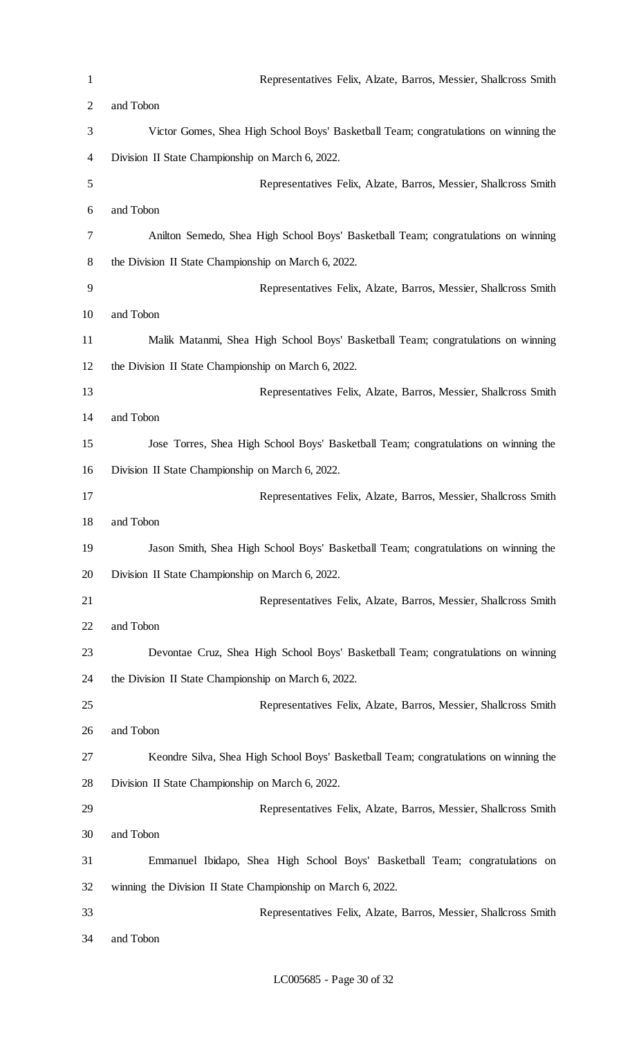| $\mathbf{1}$   | Representatives Felix, Alzate, Barros, Messier, Shallcross Smith                      |
|----------------|---------------------------------------------------------------------------------------|
| $\overline{2}$ | and Tobon                                                                             |
| 3              | Victor Gomes, Shea High School Boys' Basketball Team; congratulations on winning the  |
| 4              | Division II State Championship on March 6, 2022.                                      |
| 5              | Representatives Felix, Alzate, Barros, Messier, Shallcross Smith                      |
| 6              | and Tobon                                                                             |
| 7              | Anilton Semedo, Shea High School Boys' Basketball Team; congratulations on winning    |
| 8              | the Division II State Championship on March 6, 2022.                                  |
| 9              | Representatives Felix, Alzate, Barros, Messier, Shallcross Smith                      |
| 10             | and Tobon                                                                             |
| 11             | Malik Matanmi, Shea High School Boys' Basketball Team; congratulations on winning     |
| 12             | the Division II State Championship on March 6, 2022.                                  |
| 13             | Representatives Felix, Alzate, Barros, Messier, Shallcross Smith                      |
| 14             | and Tobon                                                                             |
| 15             | Jose Torres, Shea High School Boys' Basketball Team; congratulations on winning the   |
| 16             | Division II State Championship on March 6, 2022.                                      |
| 17             | Representatives Felix, Alzate, Barros, Messier, Shallcross Smith                      |
| 18             | and Tobon                                                                             |
| 19             | Jason Smith, Shea High School Boys' Basketball Team; congratulations on winning the   |
| 20             | Division II State Championship on March 6, 2022.                                      |
| 21             | Representatives Felix, Alzate, Barros, Messier, Shallcross Smith                      |
| 22             | and Tobon                                                                             |
| 23             | Devontae Cruz, Shea High School Boys' Basketball Team; congratulations on winning     |
| 24             | the Division II State Championship on March 6, 2022.                                  |
| 25             | Representatives Felix, Alzate, Barros, Messier, Shallcross Smith                      |
| 26             | and Tobon                                                                             |
| 27             | Keondre Silva, Shea High School Boys' Basketball Team; congratulations on winning the |
| 28             | Division II State Championship on March 6, 2022.                                      |
| 29             | Representatives Felix, Alzate, Barros, Messier, Shallcross Smith                      |
| 30             | and Tobon                                                                             |
| 31             | Emmanuel Ibidapo, Shea High School Boys' Basketball Team; congratulations on          |
| 32             | winning the Division II State Championship on March 6, 2022.                          |
| 33             | Representatives Felix, Alzate, Barros, Messier, Shallcross Smith                      |
| 34             | and Tobon                                                                             |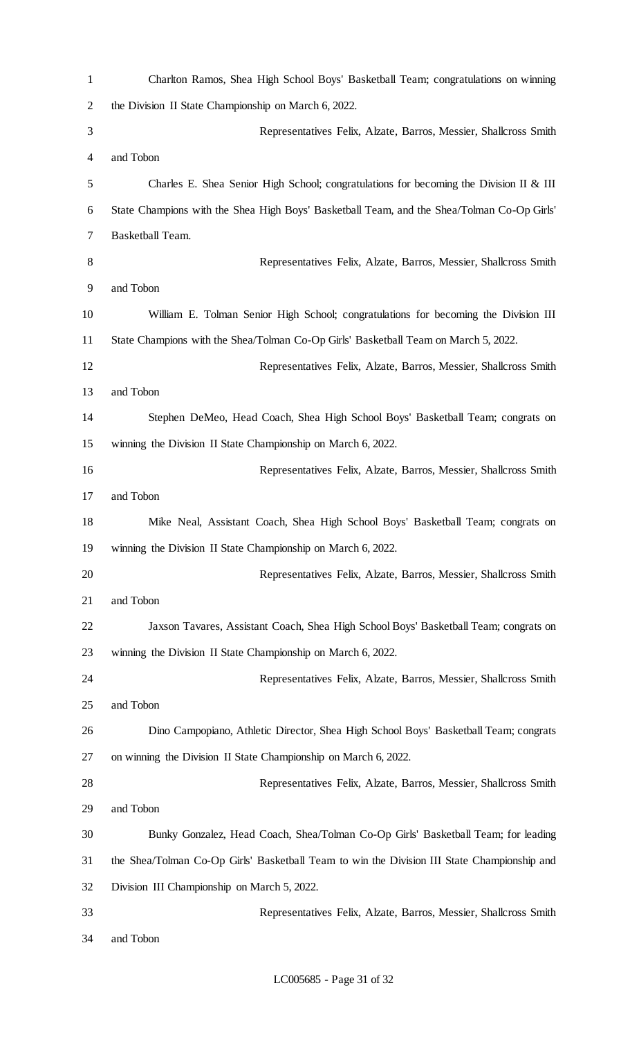| $\mathbf{1}$   | Charlton Ramos, Shea High School Boys' Basketball Team; congratulations on winning          |
|----------------|---------------------------------------------------------------------------------------------|
| $\overline{2}$ | the Division II State Championship on March 6, 2022.                                        |
| 3              | Representatives Felix, Alzate, Barros, Messier, Shallcross Smith                            |
| 4              | and Tobon                                                                                   |
| 5              | Charles E. Shea Senior High School; congratulations for becoming the Division II & III      |
| 6              | State Champions with the Shea High Boys' Basketball Team, and the Shea/Tolman Co-Op Girls'  |
| 7              | Basketball Team.                                                                            |
| 8              | Representatives Felix, Alzate, Barros, Messier, Shallcross Smith                            |
| 9              | and Tobon                                                                                   |
| 10             | William E. Tolman Senior High School; congratulations for becoming the Division III         |
| 11             | State Champions with the Shea/Tolman Co-Op Girls' Basketball Team on March 5, 2022.         |
| 12             | Representatives Felix, Alzate, Barros, Messier, Shallcross Smith                            |
| 13             | and Tobon                                                                                   |
| 14             | Stephen DeMeo, Head Coach, Shea High School Boys' Basketball Team; congrats on              |
| 15             | winning the Division II State Championship on March 6, 2022.                                |
| 16             | Representatives Felix, Alzate, Barros, Messier, Shallcross Smith                            |
| 17             | and Tobon                                                                                   |
| 18             | Mike Neal, Assistant Coach, Shea High School Boys' Basketball Team; congrats on             |
| 19             | winning the Division II State Championship on March 6, 2022.                                |
| 20             | Representatives Felix, Alzate, Barros, Messier, Shallcross Smith                            |
| 21             | and Tobon                                                                                   |
| 22             | Jaxson Tavares, Assistant Coach, Shea High School Boys' Basketball Team; congrats on        |
| 23             | winning the Division II State Championship on March 6, 2022.                                |
| 24             | Representatives Felix, Alzate, Barros, Messier, Shallcross Smith                            |
| 25             | and Tobon                                                                                   |
| 26             | Dino Campopiano, Athletic Director, Shea High School Boys' Basketball Team; congrats        |
| 27             | on winning the Division II State Championship on March 6, 2022.                             |
| 28             | Representatives Felix, Alzate, Barros, Messier, Shallcross Smith                            |
| 29             | and Tobon                                                                                   |
| 30             | Bunky Gonzalez, Head Coach, Shea/Tolman Co-Op Girls' Basketball Team; for leading           |
| 31             | the Shea/Tolman Co-Op Girls' Basketball Team to win the Division III State Championship and |
| 32             | Division III Championship on March 5, 2022.                                                 |
| 33             | Representatives Felix, Alzate, Barros, Messier, Shallcross Smith                            |
| 34             | and Tobon                                                                                   |